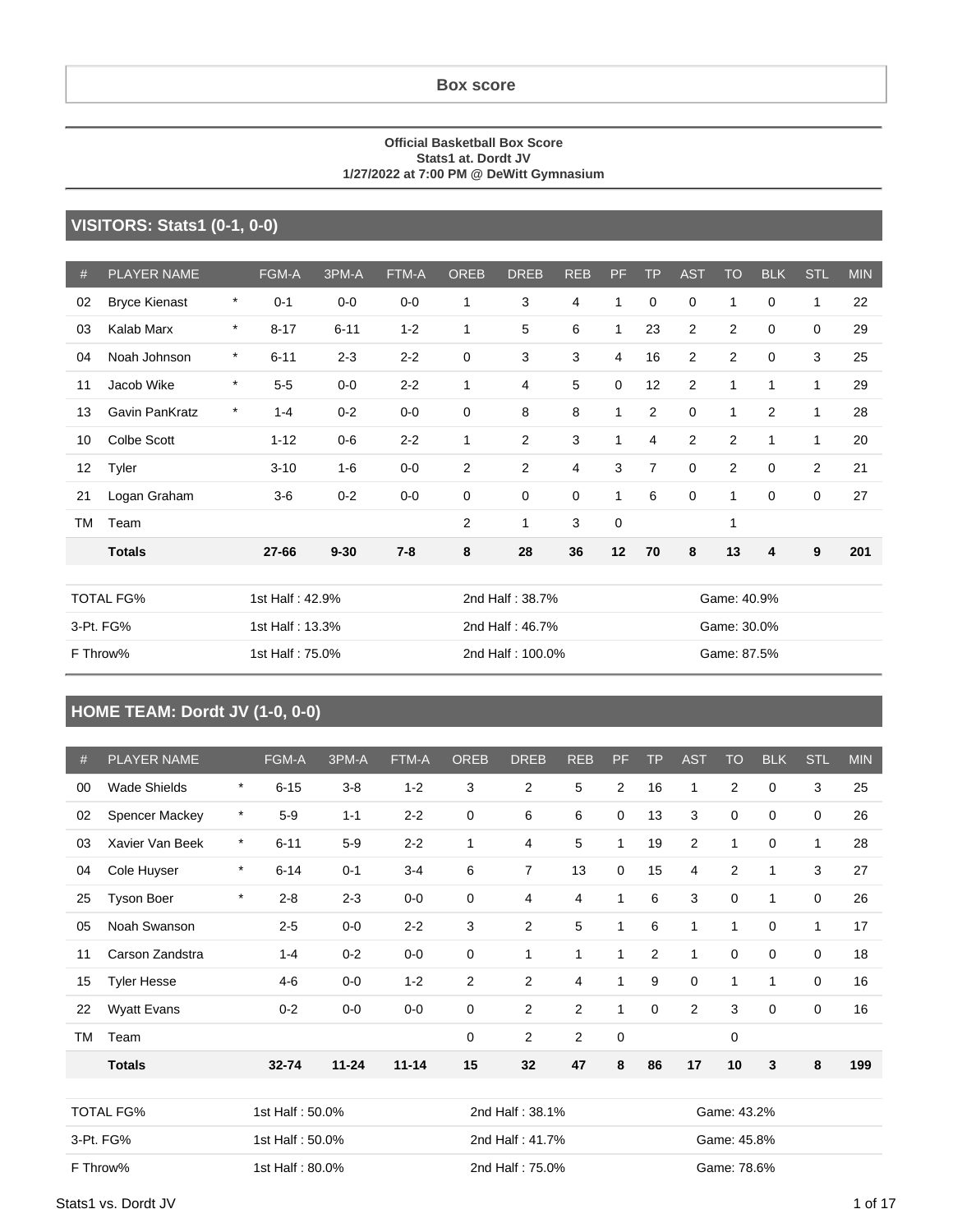#### **Box score**

#### **Official Basketball Box Score Stats1 at. Dordt JV 1/27/2022 at 7:00 PM @ DeWitt Gymnasium**

#### **VISITORS: Stats1 (0-1, 0-0)**

| $\#$      | <b>PLAYER NAME</b>   |         | FGM-A           | 3PM-A    | <b>FTM-A</b> | <b>OREB</b> | <b>DREB</b>      | <b>REB</b>  | <b>PF</b>      | <b>TP</b>      | <b>AST</b>     | <b>TO</b>      | <b>BLK</b>  | <b>STL</b>  | <b>MIN</b> |
|-----------|----------------------|---------|-----------------|----------|--------------|-------------|------------------|-------------|----------------|----------------|----------------|----------------|-------------|-------------|------------|
| 02        | <b>Bryce Kienast</b> | $\star$ | $0 - 1$         | $0-0$    | $0 - 0$      | 1           | 3                | 4           | $\mathbf{1}$   | $\mathbf 0$    | $\mathbf 0$    | 1              | $\mathbf 0$ | 1           | 22         |
| 03        | Kalab Marx           | $\star$ | $8 - 17$        | $6 - 11$ | $1 - 2$      | 1           | 5                | 6           | $\mathbf{1}$   | 23             | $\overline{c}$ | $\overline{2}$ | $\mathbf 0$ | $\mathbf 0$ | 29         |
| 04        | Noah Johnson         | $\star$ | $6 - 11$        | $2 - 3$  | $2 - 2$      | $\mathbf 0$ | 3                | 3           | $\overline{4}$ | 16             | 2              | 2              | $\mathbf 0$ | 3           | 25         |
| 11        | Jacob Wike           | $\star$ | $5-5$           | $0-0$    | $2 - 2$      | 1           | 4                | 5           | $\mathbf 0$    | 12             | 2              | 1              | 1           | 1           | 29         |
| 13        | Gavin PanKratz       | $\star$ | $1 - 4$         | $0 - 2$  | $0-0$        | $\mathbf 0$ | 8                | 8           | $\mathbf{1}$   | 2              | $\mathbf 0$    | $\mathbf{1}$   | 2           | 1           | 28         |
| 10        | <b>Colbe Scott</b>   |         | $1 - 12$        | $0-6$    | $2 - 2$      | 1           | 2                | 3           | $\mathbf{1}$   | $\overline{4}$ | 2              | $\overline{2}$ | 1           | 1           | 20         |
| 12        | Tyler                |         | $3 - 10$        | $1 - 6$  | $0-0$        | 2           | $\overline{2}$   | 4           | 3              | $\overline{7}$ | $\mathbf 0$    | 2              | $\mathbf 0$ | 2           | 21         |
| 21        | Logan Graham         |         | $3-6$           | $0 - 2$  | $0-0$        | $\mathbf 0$ | 0                | $\mathbf 0$ | $\mathbf{1}$   | 6              | $\mathbf 0$    | 1              | $\mathbf 0$ | $\mathbf 0$ | 27         |
| <b>TM</b> | Team                 |         |                 |          |              | 2           | 1                | 3           | $\mathbf 0$    |                |                | 1              |             |             |            |
|           | <b>Totals</b>        |         | $27 - 66$       | $9 - 30$ | $7 - 8$      | 8           | 28               | 36          | 12             | 70             | 8              | 13             | 4           | 9           | 201        |
|           |                      |         |                 |          |              |             |                  |             |                |                |                |                |             |             |            |
|           | <b>TOTAL FG%</b>     |         | 1st Half: 42.9% |          |              |             | 2nd Half: 38.7%  |             |                |                |                | Game: 40.9%    |             |             |            |
|           | 3-Pt. FG%            |         | 1st Half: 13.3% |          |              |             | 2nd Half: 46.7%  |             |                |                |                | Game: 30.0%    |             |             |            |
|           | F Throw%             |         | 1st Half: 75.0% |          |              |             | 2nd Half: 100.0% |             |                |                |                | Game: 87.5%    |             |             |            |

### **HOME TEAM: Dordt JV (1-0, 0-0)**

| #  | <b>PLAYER NAME</b>  |         | FGM-A           | 3PM-A     | FTM-A     | <b>OREB</b> | <b>DREB</b>     | <b>REB</b>     | PF.            | <b>TP</b> | <b>AST</b>     | <b>TO</b>      | <b>BLK</b>  | STL | <b>MIN</b> |
|----|---------------------|---------|-----------------|-----------|-----------|-------------|-----------------|----------------|----------------|-----------|----------------|----------------|-------------|-----|------------|
| 00 | <b>Wade Shields</b> | $\star$ | $6 - 15$        | $3-8$     | $1 - 2$   | 3           | $\overline{2}$  | 5              | $\overline{2}$ | 16        | 1              | 2              | 0           | 3   | 25         |
| 02 | Spencer Mackey      | $\star$ | $5-9$           | $1 - 1$   | $2 - 2$   | 0           | 6               | 6              | 0              | 13        | 3              | 0              | 0           | 0   | 26         |
| 03 | Xavier Van Beek     | *       | $6 - 11$        | $5-9$     | $2 - 2$   | 1           | 4               | 5              | 1              | 19        | $\overline{2}$ | $\mathbf{1}$   | 0           | 1   | 28         |
| 04 | Cole Huyser         | $\star$ | $6 - 14$        | $0 - 1$   | $3 - 4$   | 6           | 7               | 13             | $\mathbf 0$    | 15        | 4              | $\overline{2}$ | 1           | 3   | 27         |
| 25 | <b>Tyson Boer</b>   | $\star$ | $2 - 8$         | $2 - 3$   | $0-0$     | 0           | 4               | $\overline{4}$ | 1              | 6         | 3              | 0              | 1           | 0   | 26         |
| 05 | Noah Swanson        |         | $2 - 5$         | $0-0$     | $2 - 2$   | 3           | $\overline{2}$  | 5              | $\mathbf{1}$   | 6         | $\mathbf{1}$   | $\mathbf{1}$   | $\mathbf 0$ | 1   | 17         |
| 11 | Carson Zandstra     |         | $1 - 4$         | $0 - 2$   | $0-0$     | 0           | $\mathbf{1}$    | 1              | 1              | 2         | $\mathbf{1}$   | 0              | $\mathbf 0$ | 0   | 18         |
| 15 | <b>Tyler Hesse</b>  |         | $4 - 6$         | $0-0$     | $1 - 2$   | 2           | $\overline{c}$  | 4              | 1              | 9         | $\mathbf 0$    | $\mathbf{1}$   | 1           | 0   | 16         |
| 22 | <b>Wyatt Evans</b>  |         | $0 - 2$         | $0-0$     | $0-0$     | 0           | $\overline{2}$  | $\overline{2}$ | $\mathbf{1}$   | 0         | $\overline{2}$ | 3              | $\mathbf 0$ | 0   | 16         |
| TM | Team                |         |                 |           |           | 0           | $\overline{2}$  | $\overline{2}$ | $\mathbf 0$    |           |                | $\mathbf 0$    |             |     |            |
|    | <b>Totals</b>       |         | $32 - 74$       | $11 - 24$ | $11 - 14$ | 15          | 32              | 47             | 8              | 86        | 17             | 10             | 3           | 8   | 199        |
|    |                     |         |                 |           |           |             |                 |                |                |           |                |                |             |     |            |
|    | <b>TOTAL FG%</b>    |         | 1st Half: 50.0% |           |           |             | 2nd Half: 38.1% |                |                |           |                | Game: 43.2%    |             |     |            |
|    | 3-Pt. FG%           |         | 1st Half: 50.0% |           |           |             | 2nd Half: 41.7% |                |                |           |                | Game: 45.8%    |             |     |            |
|    | F Throw%            |         | 1st Half: 80.0% |           |           |             | 2nd Half: 75.0% |                |                |           |                | Game: 78.6%    |             |     |            |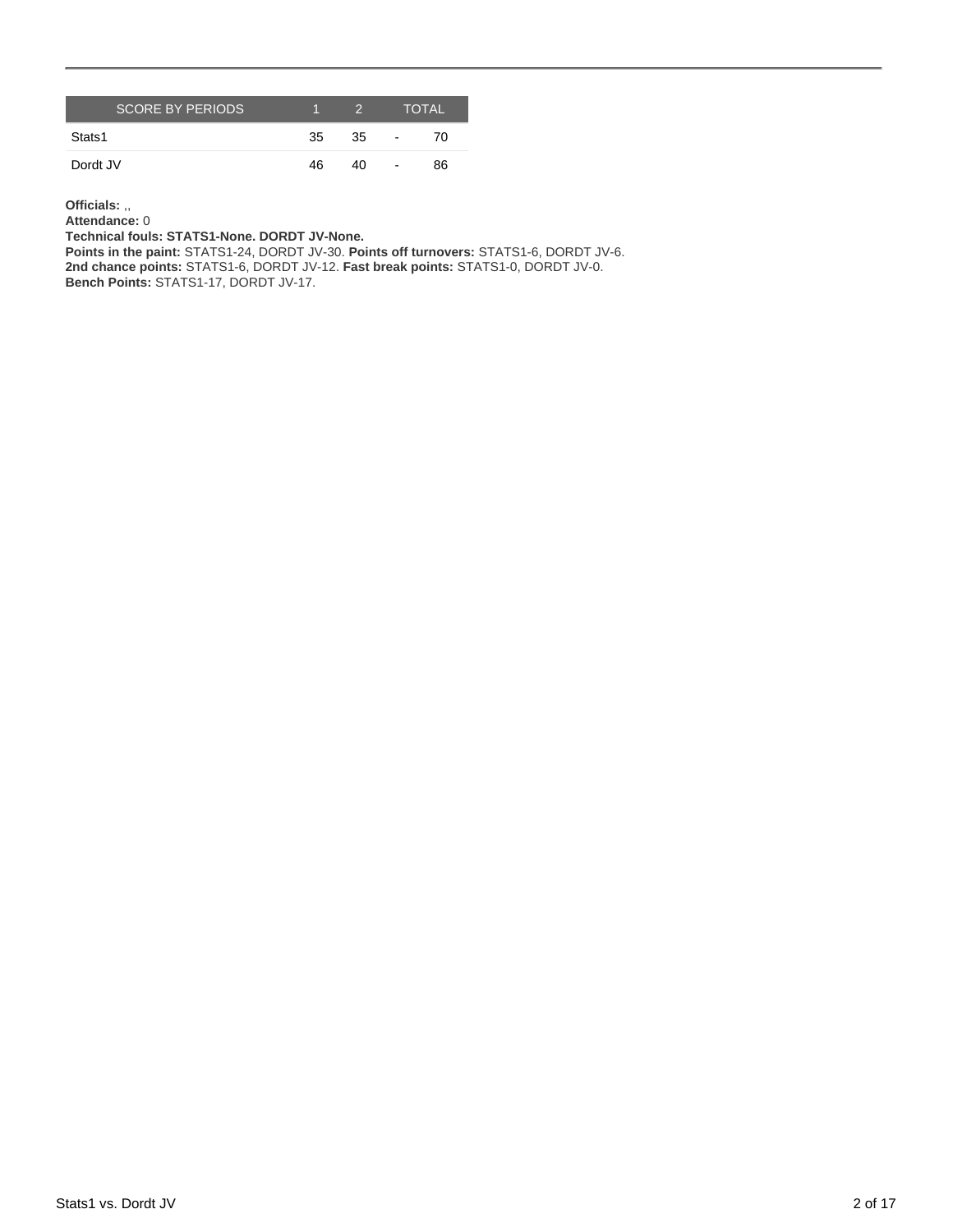| <b>SCORE BY PERIODS</b> |    | 2. |                          | <b>TOTAL</b> |
|-------------------------|----|----|--------------------------|--------------|
| Stats1                  | 35 | 35 | $\overline{\phantom{a}}$ | 70           |
| Dordt JV                | 46 | 40 | $\overline{\phantom{a}}$ | 86           |

**Officials:** ,,

**Attendance:** 0 **Technical fouls: STATS1-None. DORDT JV-None.**

**Points in the paint:** STATS1-24, DORDT JV-30. **Points off turnovers:** STATS1-6, DORDT JV-6. **2nd chance points:** STATS1-6, DORDT JV-12. **Fast break points:** STATS1-0, DORDT JV-0. **Bench Points:** STATS1-17, DORDT JV-17.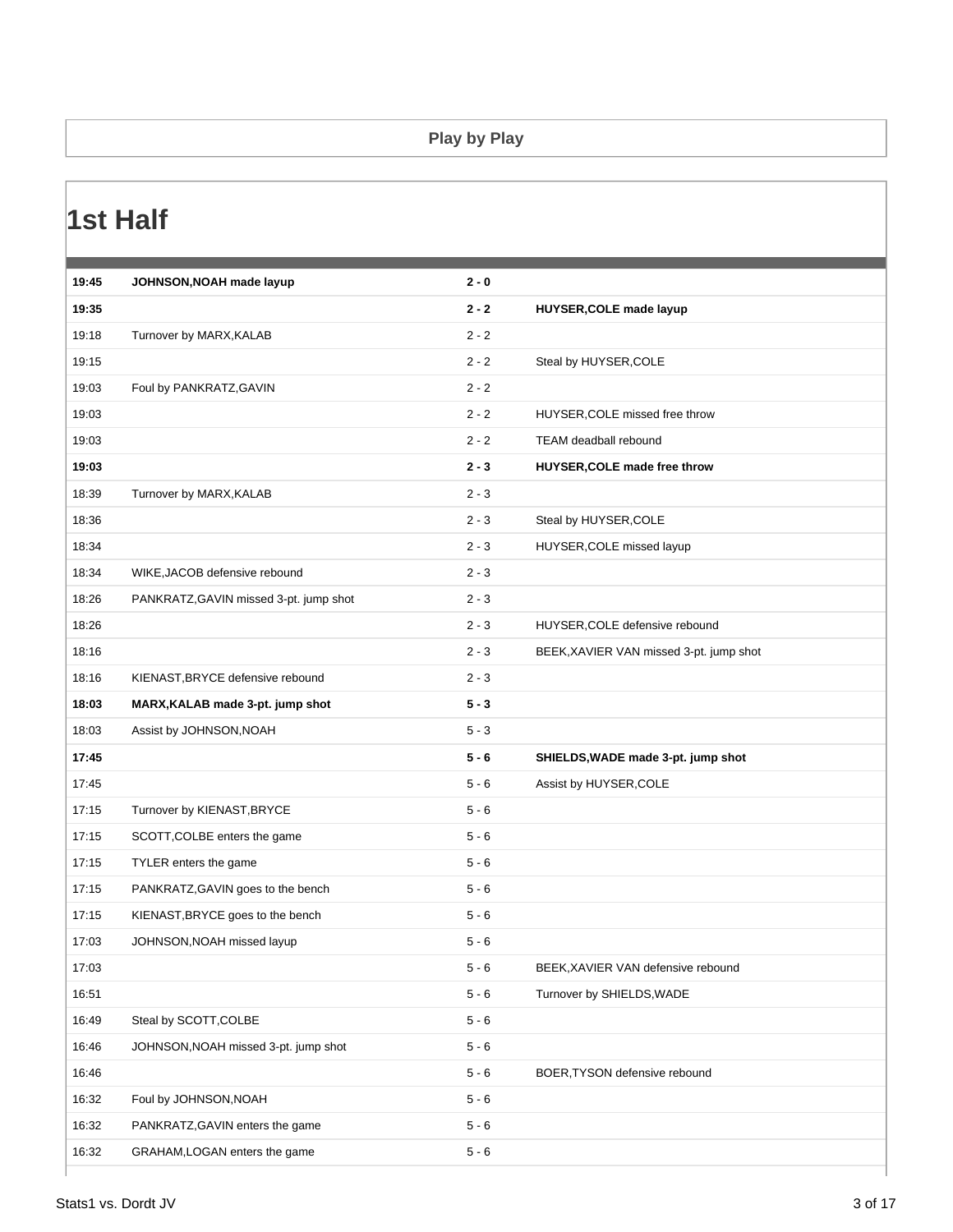#### **Play by Play**

### **1st Half**

| 19:35<br>$2 - 2$<br>HUYSER, COLE made layup<br>19:18<br>Turnover by MARX, KALAB<br>$2 - 2$<br>19:15<br>$2 - 2$<br>Steal by HUYSER, COLE<br>19:03<br>$2 - 2$<br>Foul by PANKRATZ, GAVIN<br>19:03<br>$2 - 2$<br>HUYSER, COLE missed free throw<br>19:03<br>$2 - 2$<br>TEAM deadball rebound<br>19:03<br>$2 - 3$<br>HUYSER, COLE made free throw<br>18:39<br>$2 - 3$<br>Turnover by MARX, KALAB<br>18:36<br>$2 - 3$<br>Steal by HUYSER, COLE<br>18:34<br>$2 - 3$<br>HUYSER, COLE missed layup<br>18:34<br>$2 - 3$<br>WIKE, JACOB defensive rebound<br>18:26<br>$2 - 3$<br>PANKRATZ, GAVIN missed 3-pt. jump shot<br>18:26<br>$2 - 3$<br>HUYSER, COLE defensive rebound<br>18:16<br>$2 - 3$<br>BEEK, XAVIER VAN missed 3-pt. jump shot<br>18:16<br>$2 - 3$<br>KIENAST, BRYCE defensive rebound<br>18:03<br>$5 - 3$<br>MARX, KALAB made 3-pt. jump shot<br>18:03<br>$5 - 3$<br>Assist by JOHNSON, NOAH<br>17:45<br>$5 - 6$<br>SHIELDS, WADE made 3-pt. jump shot<br>17:45<br>$5 - 6$<br>Assist by HUYSER, COLE<br>17:15<br>Turnover by KIENAST, BRYCE<br>$5 - 6$<br>17:15<br>SCOTT, COLBE enters the game<br>$5 - 6$<br>17:15<br>TYLER enters the game<br>$5 - 6$<br>$5 - 6$<br>17:15<br>PANKRATZ, GAVIN goes to the bench<br>17:15<br>KIENAST, BRYCE goes to the bench<br>$5 - 6$<br>17:03<br>$5 - 6$<br>JOHNSON, NOAH missed layup<br>17:03<br>$5 - 6$<br>BEEK, XAVIER VAN defensive rebound<br>16:51<br>$5 - 6$<br>Turnover by SHIELDS, WADE<br>Steal by SCOTT, COLBE<br>$5 - 6$<br>16:49<br>16:46<br>$5 - 6$<br>JOHNSON, NOAH missed 3-pt. jump shot<br>16:46<br>$5 - 6$<br>BOER, TYSON defensive rebound<br>16:32<br>Foul by JOHNSON, NOAH<br>$5 - 6$<br>16:32<br>$5 - 6$<br>PANKRATZ, GAVIN enters the game | 19:45 | JOHNSON, NOAH made layup | $2 - 0$ |  |
|--------------------------------------------------------------------------------------------------------------------------------------------------------------------------------------------------------------------------------------------------------------------------------------------------------------------------------------------------------------------------------------------------------------------------------------------------------------------------------------------------------------------------------------------------------------------------------------------------------------------------------------------------------------------------------------------------------------------------------------------------------------------------------------------------------------------------------------------------------------------------------------------------------------------------------------------------------------------------------------------------------------------------------------------------------------------------------------------------------------------------------------------------------------------------------------------------------------------------------------------------------------------------------------------------------------------------------------------------------------------------------------------------------------------------------------------------------------------------------------------------------------------------------------------------------------------------------------------------------------------------------------------------------------------------------------------------------------|-------|--------------------------|---------|--|
|                                                                                                                                                                                                                                                                                                                                                                                                                                                                                                                                                                                                                                                                                                                                                                                                                                                                                                                                                                                                                                                                                                                                                                                                                                                                                                                                                                                                                                                                                                                                                                                                                                                                                                              |       |                          |         |  |
|                                                                                                                                                                                                                                                                                                                                                                                                                                                                                                                                                                                                                                                                                                                                                                                                                                                                                                                                                                                                                                                                                                                                                                                                                                                                                                                                                                                                                                                                                                                                                                                                                                                                                                              |       |                          |         |  |
|                                                                                                                                                                                                                                                                                                                                                                                                                                                                                                                                                                                                                                                                                                                                                                                                                                                                                                                                                                                                                                                                                                                                                                                                                                                                                                                                                                                                                                                                                                                                                                                                                                                                                                              |       |                          |         |  |
|                                                                                                                                                                                                                                                                                                                                                                                                                                                                                                                                                                                                                                                                                                                                                                                                                                                                                                                                                                                                                                                                                                                                                                                                                                                                                                                                                                                                                                                                                                                                                                                                                                                                                                              |       |                          |         |  |
|                                                                                                                                                                                                                                                                                                                                                                                                                                                                                                                                                                                                                                                                                                                                                                                                                                                                                                                                                                                                                                                                                                                                                                                                                                                                                                                                                                                                                                                                                                                                                                                                                                                                                                              |       |                          |         |  |
|                                                                                                                                                                                                                                                                                                                                                                                                                                                                                                                                                                                                                                                                                                                                                                                                                                                                                                                                                                                                                                                                                                                                                                                                                                                                                                                                                                                                                                                                                                                                                                                                                                                                                                              |       |                          |         |  |
|                                                                                                                                                                                                                                                                                                                                                                                                                                                                                                                                                                                                                                                                                                                                                                                                                                                                                                                                                                                                                                                                                                                                                                                                                                                                                                                                                                                                                                                                                                                                                                                                                                                                                                              |       |                          |         |  |
|                                                                                                                                                                                                                                                                                                                                                                                                                                                                                                                                                                                                                                                                                                                                                                                                                                                                                                                                                                                                                                                                                                                                                                                                                                                                                                                                                                                                                                                                                                                                                                                                                                                                                                              |       |                          |         |  |
|                                                                                                                                                                                                                                                                                                                                                                                                                                                                                                                                                                                                                                                                                                                                                                                                                                                                                                                                                                                                                                                                                                                                                                                                                                                                                                                                                                                                                                                                                                                                                                                                                                                                                                              |       |                          |         |  |
|                                                                                                                                                                                                                                                                                                                                                                                                                                                                                                                                                                                                                                                                                                                                                                                                                                                                                                                                                                                                                                                                                                                                                                                                                                                                                                                                                                                                                                                                                                                                                                                                                                                                                                              |       |                          |         |  |
|                                                                                                                                                                                                                                                                                                                                                                                                                                                                                                                                                                                                                                                                                                                                                                                                                                                                                                                                                                                                                                                                                                                                                                                                                                                                                                                                                                                                                                                                                                                                                                                                                                                                                                              |       |                          |         |  |
|                                                                                                                                                                                                                                                                                                                                                                                                                                                                                                                                                                                                                                                                                                                                                                                                                                                                                                                                                                                                                                                                                                                                                                                                                                                                                                                                                                                                                                                                                                                                                                                                                                                                                                              |       |                          |         |  |
|                                                                                                                                                                                                                                                                                                                                                                                                                                                                                                                                                                                                                                                                                                                                                                                                                                                                                                                                                                                                                                                                                                                                                                                                                                                                                                                                                                                                                                                                                                                                                                                                                                                                                                              |       |                          |         |  |
|                                                                                                                                                                                                                                                                                                                                                                                                                                                                                                                                                                                                                                                                                                                                                                                                                                                                                                                                                                                                                                                                                                                                                                                                                                                                                                                                                                                                                                                                                                                                                                                                                                                                                                              |       |                          |         |  |
|                                                                                                                                                                                                                                                                                                                                                                                                                                                                                                                                                                                                                                                                                                                                                                                                                                                                                                                                                                                                                                                                                                                                                                                                                                                                                                                                                                                                                                                                                                                                                                                                                                                                                                              |       |                          |         |  |
|                                                                                                                                                                                                                                                                                                                                                                                                                                                                                                                                                                                                                                                                                                                                                                                                                                                                                                                                                                                                                                                                                                                                                                                                                                                                                                                                                                                                                                                                                                                                                                                                                                                                                                              |       |                          |         |  |
|                                                                                                                                                                                                                                                                                                                                                                                                                                                                                                                                                                                                                                                                                                                                                                                                                                                                                                                                                                                                                                                                                                                                                                                                                                                                                                                                                                                                                                                                                                                                                                                                                                                                                                              |       |                          |         |  |
|                                                                                                                                                                                                                                                                                                                                                                                                                                                                                                                                                                                                                                                                                                                                                                                                                                                                                                                                                                                                                                                                                                                                                                                                                                                                                                                                                                                                                                                                                                                                                                                                                                                                                                              |       |                          |         |  |
|                                                                                                                                                                                                                                                                                                                                                                                                                                                                                                                                                                                                                                                                                                                                                                                                                                                                                                                                                                                                                                                                                                                                                                                                                                                                                                                                                                                                                                                                                                                                                                                                                                                                                                              |       |                          |         |  |
|                                                                                                                                                                                                                                                                                                                                                                                                                                                                                                                                                                                                                                                                                                                                                                                                                                                                                                                                                                                                                                                                                                                                                                                                                                                                                                                                                                                                                                                                                                                                                                                                                                                                                                              |       |                          |         |  |
|                                                                                                                                                                                                                                                                                                                                                                                                                                                                                                                                                                                                                                                                                                                                                                                                                                                                                                                                                                                                                                                                                                                                                                                                                                                                                                                                                                                                                                                                                                                                                                                                                                                                                                              |       |                          |         |  |
|                                                                                                                                                                                                                                                                                                                                                                                                                                                                                                                                                                                                                                                                                                                                                                                                                                                                                                                                                                                                                                                                                                                                                                                                                                                                                                                                                                                                                                                                                                                                                                                                                                                                                                              |       |                          |         |  |
|                                                                                                                                                                                                                                                                                                                                                                                                                                                                                                                                                                                                                                                                                                                                                                                                                                                                                                                                                                                                                                                                                                                                                                                                                                                                                                                                                                                                                                                                                                                                                                                                                                                                                                              |       |                          |         |  |
|                                                                                                                                                                                                                                                                                                                                                                                                                                                                                                                                                                                                                                                                                                                                                                                                                                                                                                                                                                                                                                                                                                                                                                                                                                                                                                                                                                                                                                                                                                                                                                                                                                                                                                              |       |                          |         |  |
|                                                                                                                                                                                                                                                                                                                                                                                                                                                                                                                                                                                                                                                                                                                                                                                                                                                                                                                                                                                                                                                                                                                                                                                                                                                                                                                                                                                                                                                                                                                                                                                                                                                                                                              |       |                          |         |  |
|                                                                                                                                                                                                                                                                                                                                                                                                                                                                                                                                                                                                                                                                                                                                                                                                                                                                                                                                                                                                                                                                                                                                                                                                                                                                                                                                                                                                                                                                                                                                                                                                                                                                                                              |       |                          |         |  |
|                                                                                                                                                                                                                                                                                                                                                                                                                                                                                                                                                                                                                                                                                                                                                                                                                                                                                                                                                                                                                                                                                                                                                                                                                                                                                                                                                                                                                                                                                                                                                                                                                                                                                                              |       |                          |         |  |
|                                                                                                                                                                                                                                                                                                                                                                                                                                                                                                                                                                                                                                                                                                                                                                                                                                                                                                                                                                                                                                                                                                                                                                                                                                                                                                                                                                                                                                                                                                                                                                                                                                                                                                              |       |                          |         |  |
|                                                                                                                                                                                                                                                                                                                                                                                                                                                                                                                                                                                                                                                                                                                                                                                                                                                                                                                                                                                                                                                                                                                                                                                                                                                                                                                                                                                                                                                                                                                                                                                                                                                                                                              |       |                          |         |  |
|                                                                                                                                                                                                                                                                                                                                                                                                                                                                                                                                                                                                                                                                                                                                                                                                                                                                                                                                                                                                                                                                                                                                                                                                                                                                                                                                                                                                                                                                                                                                                                                                                                                                                                              |       |                          |         |  |
|                                                                                                                                                                                                                                                                                                                                                                                                                                                                                                                                                                                                                                                                                                                                                                                                                                                                                                                                                                                                                                                                                                                                                                                                                                                                                                                                                                                                                                                                                                                                                                                                                                                                                                              |       |                          |         |  |
|                                                                                                                                                                                                                                                                                                                                                                                                                                                                                                                                                                                                                                                                                                                                                                                                                                                                                                                                                                                                                                                                                                                                                                                                                                                                                                                                                                                                                                                                                                                                                                                                                                                                                                              |       |                          |         |  |
| 16:32<br>$5 - 6$<br>GRAHAM, LOGAN enters the game                                                                                                                                                                                                                                                                                                                                                                                                                                                                                                                                                                                                                                                                                                                                                                                                                                                                                                                                                                                                                                                                                                                                                                                                                                                                                                                                                                                                                                                                                                                                                                                                                                                            |       |                          |         |  |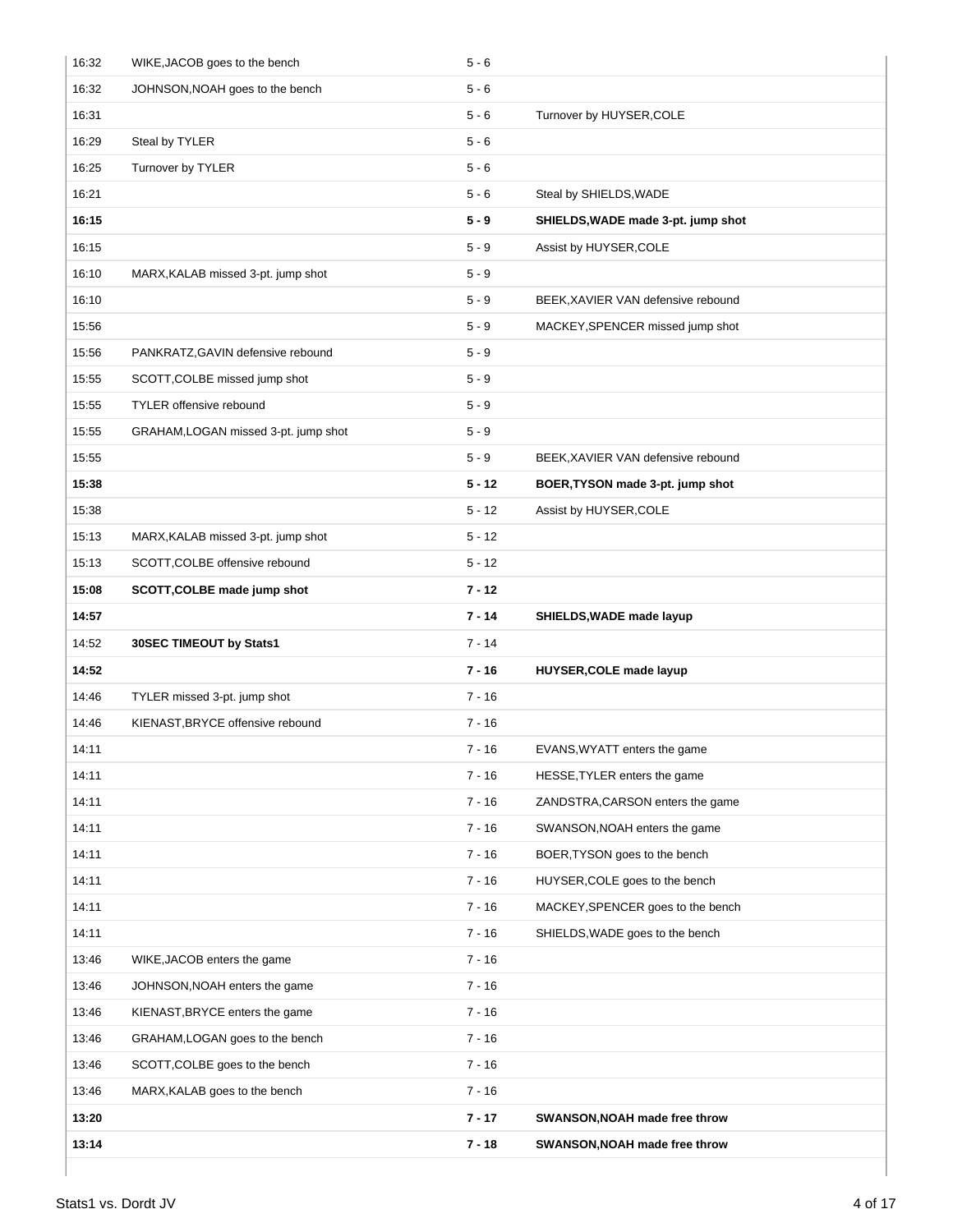| 16:32 | WIKE, JACOB goes to the bench        | $5 - 6$  |                                    |
|-------|--------------------------------------|----------|------------------------------------|
| 16:32 | JOHNSON, NOAH goes to the bench      | $5 - 6$  |                                    |
| 16:31 |                                      | $5 - 6$  | Turnover by HUYSER, COLE           |
| 16:29 | Steal by TYLER                       | $5 - 6$  |                                    |
| 16:25 | Turnover by TYLER                    | $5 - 6$  |                                    |
| 16:21 |                                      | $5 - 6$  | Steal by SHIELDS, WADE             |
| 16:15 |                                      | $5 - 9$  | SHIELDS, WADE made 3-pt. jump shot |
| 16:15 |                                      | $5 - 9$  | Assist by HUYSER, COLE             |
| 16:10 | MARX, KALAB missed 3-pt. jump shot   | $5 - 9$  |                                    |
| 16:10 |                                      | $5 - 9$  | BEEK, XAVIER VAN defensive rebound |
| 15:56 |                                      | $5 - 9$  | MACKEY, SPENCER missed jump shot   |
| 15:56 | PANKRATZ, GAVIN defensive rebound    | $5 - 9$  |                                    |
| 15:55 | SCOTT, COLBE missed jump shot        | $5 - 9$  |                                    |
| 15:55 | <b>TYLER</b> offensive rebound       | $5 - 9$  |                                    |
| 15:55 | GRAHAM, LOGAN missed 3-pt. jump shot | $5 - 9$  |                                    |
| 15:55 |                                      | $5 - 9$  | BEEK, XAVIER VAN defensive rebound |
| 15:38 |                                      | $5 - 12$ | BOER, TYSON made 3-pt. jump shot   |
| 15:38 |                                      | $5 - 12$ | Assist by HUYSER, COLE             |
| 15:13 | MARX, KALAB missed 3-pt. jump shot   | $5 - 12$ |                                    |
| 15:13 | SCOTT, COLBE offensive rebound       | $5 - 12$ |                                    |
| 15:08 | SCOTT, COLBE made jump shot          | $7 - 12$ |                                    |
| 14:57 |                                      | $7 - 14$ | SHIELDS, WADE made layup           |
| 14:52 | 30SEC TIMEOUT by Stats1              | $7 - 14$ |                                    |
| 14:52 |                                      | $7 - 16$ | HUYSER, COLE made layup            |
| 14:46 | TYLER missed 3-pt. jump shot         | $7 - 16$ |                                    |
| 14:46 | KIENAST, BRYCE offensive rebound     | $7 - 16$ |                                    |
| 14:11 |                                      | 7 - 16   | EVANS, WYATT enters the game       |
| 14:11 |                                      | 7 - 16   | HESSE, TYLER enters the game       |
| 14:11 |                                      | $7 - 16$ | ZANDSTRA, CARSON enters the game   |
| 14:11 |                                      | $7 - 16$ | SWANSON, NOAH enters the game      |
| 14:11 |                                      | $7 - 16$ | BOER, TYSON goes to the bench      |
| 14:11 |                                      | $7 - 16$ | HUYSER, COLE goes to the bench     |
| 14:11 |                                      | $7 - 16$ | MACKEY, SPENCER goes to the bench  |
| 14:11 |                                      | $7 - 16$ | SHIELDS, WADE goes to the bench    |
| 13:46 | WIKE, JACOB enters the game          | $7 - 16$ |                                    |
| 13:46 | JOHNSON, NOAH enters the game        | $7 - 16$ |                                    |
| 13:46 | KIENAST, BRYCE enters the game       | $7 - 16$ |                                    |
| 13:46 | GRAHAM, LOGAN goes to the bench      | $7 - 16$ |                                    |
| 13:46 | SCOTT, COLBE goes to the bench       | $7 - 16$ |                                    |
| 13:46 | MARX, KALAB goes to the bench        | $7 - 16$ |                                    |
| 13:20 |                                      | $7 - 17$ | SWANSON, NOAH made free throw      |
| 13:14 |                                      | $7 - 18$ | SWANSON, NOAH made free throw      |
|       |                                      |          |                                    |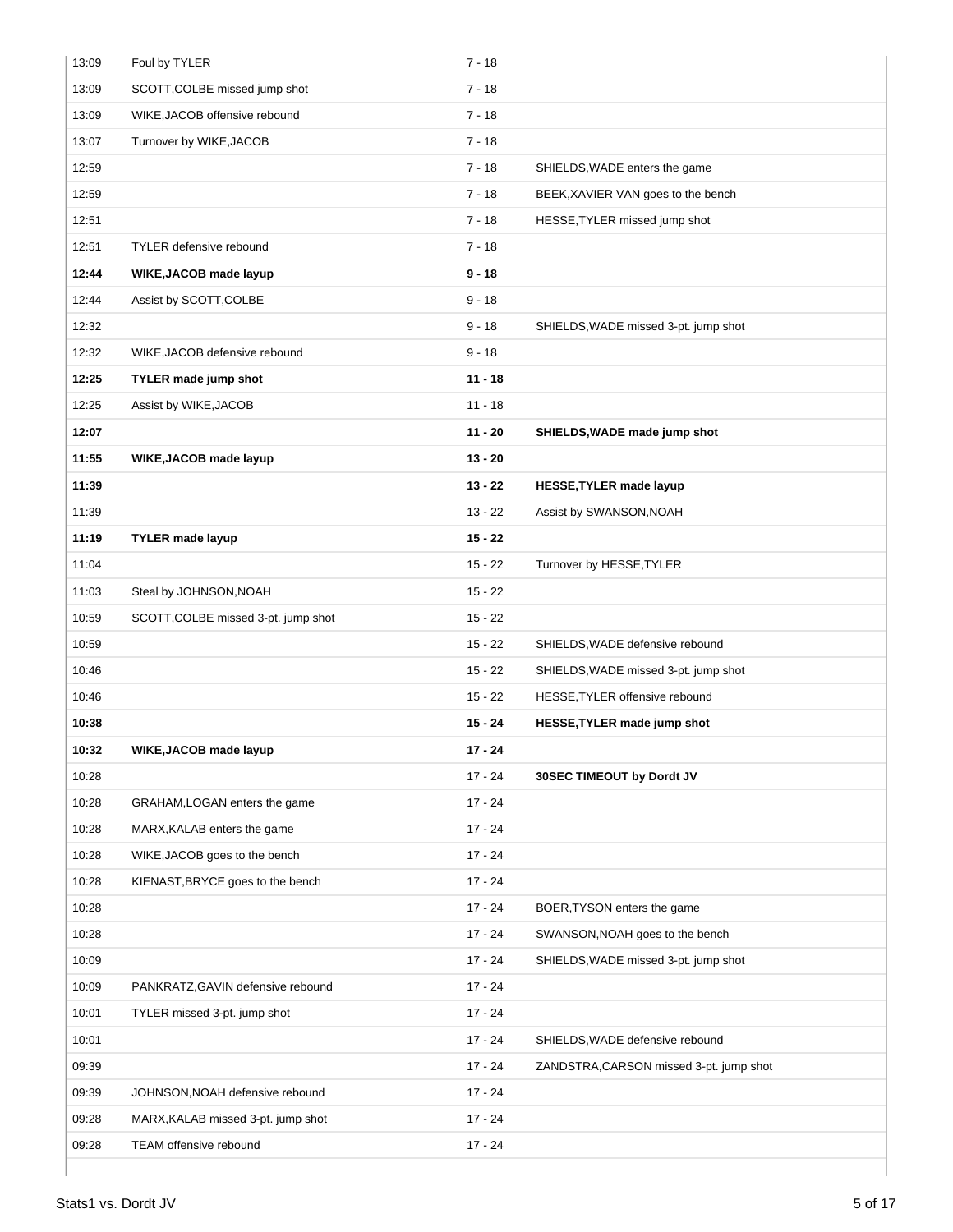| 13:09 | Foul by TYLER                       | $7 - 18$  |                                         |
|-------|-------------------------------------|-----------|-----------------------------------------|
| 13:09 | SCOTT, COLBE missed jump shot       | $7 - 18$  |                                         |
| 13:09 | WIKE, JACOB offensive rebound       | $7 - 18$  |                                         |
| 13:07 | Turnover by WIKE, JACOB             | $7 - 18$  |                                         |
| 12:59 |                                     | $7 - 18$  | SHIELDS, WADE enters the game           |
| 12:59 |                                     | $7 - 18$  | BEEK, XAVIER VAN goes to the bench      |
| 12:51 |                                     | $7 - 18$  | HESSE, TYLER missed jump shot           |
| 12:51 | <b>TYLER</b> defensive rebound      | $7 - 18$  |                                         |
| 12:44 | WIKE, JACOB made layup              | $9 - 18$  |                                         |
| 12:44 | Assist by SCOTT, COLBE              | $9 - 18$  |                                         |
| 12:32 |                                     | $9 - 18$  | SHIELDS, WADE missed 3-pt. jump shot    |
| 12:32 | WIKE, JACOB defensive rebound       | $9 - 18$  |                                         |
| 12:25 | <b>TYLER made jump shot</b>         | $11 - 18$ |                                         |
| 12:25 | Assist by WIKE, JACOB               | $11 - 18$ |                                         |
| 12:07 |                                     | $11 - 20$ | SHIELDS, WADE made jump shot            |
| 11:55 | WIKE, JACOB made layup              | $13 - 20$ |                                         |
| 11:39 |                                     | $13 - 22$ | <b>HESSE, TYLER made layup</b>          |
| 11:39 |                                     | $13 - 22$ | Assist by SWANSON, NOAH                 |
| 11:19 | <b>TYLER</b> made layup             | $15 - 22$ |                                         |
| 11:04 |                                     | $15 - 22$ | Turnover by HESSE, TYLER                |
| 11:03 | Steal by JOHNSON, NOAH              | $15 - 22$ |                                         |
| 10:59 | SCOTT, COLBE missed 3-pt. jump shot | $15 - 22$ |                                         |
| 10:59 |                                     | $15 - 22$ | SHIELDS, WADE defensive rebound         |
| 10:46 |                                     | $15 - 22$ | SHIELDS, WADE missed 3-pt. jump shot    |
| 10:46 |                                     | $15 - 22$ | HESSE, TYLER offensive rebound          |
| 10:38 |                                     | $15 - 24$ | HESSE, TYLER made jump shot             |
| 10:32 | WIKE, JACOB made layup              | $17 - 24$ |                                         |
| 10:28 |                                     | $17 - 24$ | 30SEC TIMEOUT by Dordt JV               |
| 10:28 | GRAHAM, LOGAN enters the game       | $17 - 24$ |                                         |
| 10:28 | MARX, KALAB enters the game         | $17 - 24$ |                                         |
| 10:28 | WIKE, JACOB goes to the bench       | $17 - 24$ |                                         |
| 10:28 | KIENAST, BRYCE goes to the bench    | $17 - 24$ |                                         |
| 10:28 |                                     | $17 - 24$ | BOER, TYSON enters the game             |
| 10:28 |                                     | $17 - 24$ | SWANSON, NOAH goes to the bench         |
| 10:09 |                                     | $17 - 24$ | SHIELDS, WADE missed 3-pt. jump shot    |
| 10:09 | PANKRATZ, GAVIN defensive rebound   | $17 - 24$ |                                         |
| 10:01 | TYLER missed 3-pt. jump shot        | $17 - 24$ |                                         |
| 10:01 |                                     | $17 - 24$ | SHIELDS, WADE defensive rebound         |
| 09:39 |                                     | $17 - 24$ | ZANDSTRA, CARSON missed 3-pt. jump shot |
| 09:39 | JOHNSON, NOAH defensive rebound     | $17 - 24$ |                                         |
| 09:28 | MARX, KALAB missed 3-pt. jump shot  | $17 - 24$ |                                         |
| 09:28 | TEAM offensive rebound              | $17 - 24$ |                                         |
|       |                                     |           |                                         |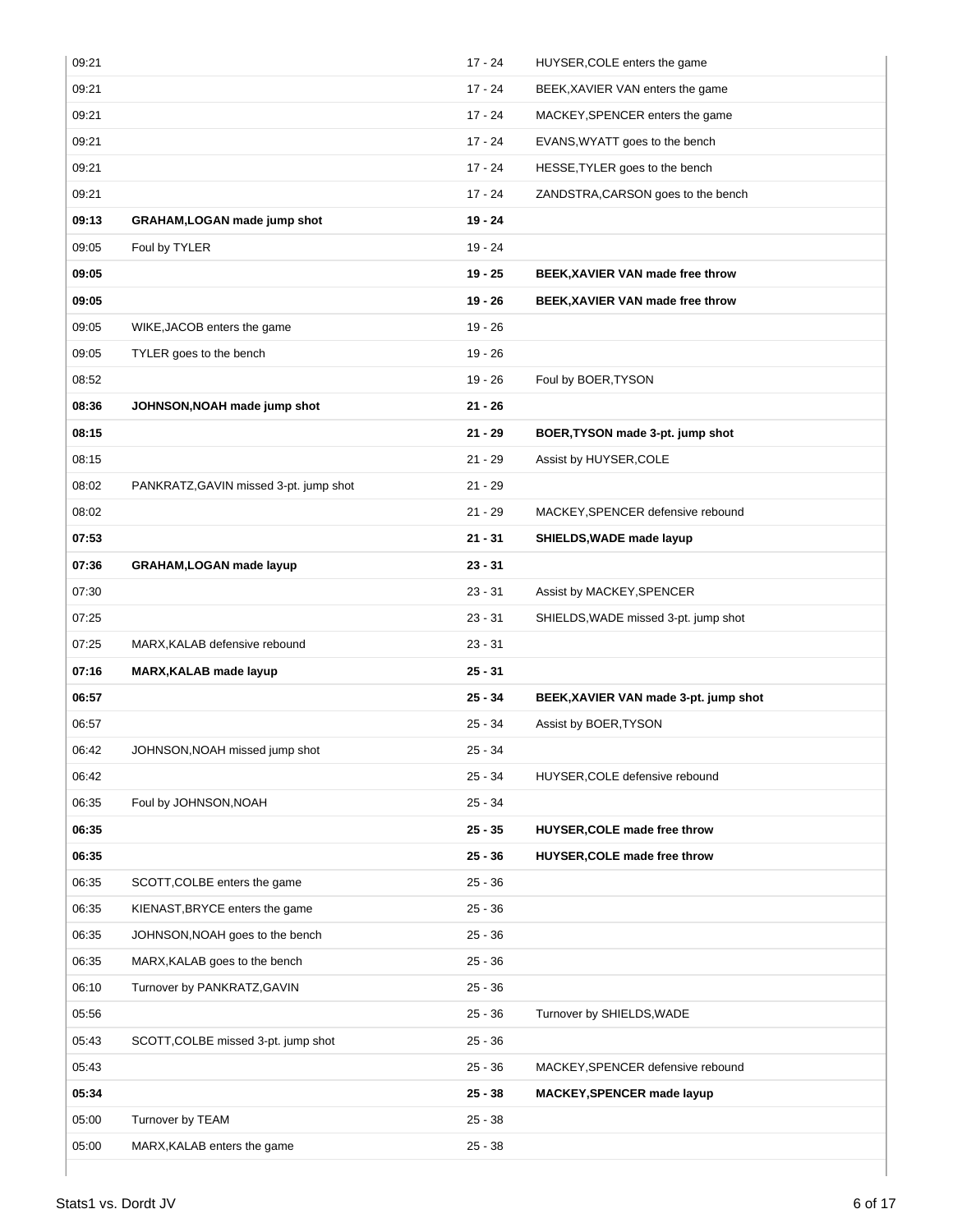|       |                                        | $17 - 24$ | HUYSER, COLE enters the game          |
|-------|----------------------------------------|-----------|---------------------------------------|
| 09:21 |                                        | $17 - 24$ | BEEK, XAVIER VAN enters the game      |
| 09:21 |                                        | $17 - 24$ | MACKEY, SPENCER enters the game       |
| 09:21 |                                        | $17 - 24$ | EVANS, WYATT goes to the bench        |
| 09:21 |                                        | $17 - 24$ | HESSE, TYLER goes to the bench        |
| 09:21 |                                        | $17 - 24$ | ZANDSTRA, CARSON goes to the bench    |
| 09:13 | <b>GRAHAM, LOGAN made jump shot</b>    | 19 - 24   |                                       |
| 09:05 | Foul by TYLER                          | $19 - 24$ |                                       |
| 09:05 |                                        | $19 - 25$ | BEEK, XAVIER VAN made free throw      |
| 09:05 |                                        | 19 - 26   | BEEK, XAVIER VAN made free throw      |
| 09:05 | WIKE, JACOB enters the game            | $19 - 26$ |                                       |
| 09:05 | TYLER goes to the bench                | $19 - 26$ |                                       |
| 08:52 |                                        | $19 - 26$ | Foul by BOER, TYSON                   |
| 08:36 | JOHNSON, NOAH made jump shot           | $21 - 26$ |                                       |
| 08:15 |                                        | $21 - 29$ | BOER, TYSON made 3-pt. jump shot      |
| 08:15 |                                        | $21 - 29$ | Assist by HUYSER, COLE                |
| 08:02 | PANKRATZ, GAVIN missed 3-pt. jump shot | $21 - 29$ |                                       |
| 08:02 |                                        | $21 - 29$ | MACKEY, SPENCER defensive rebound     |
| 07:53 |                                        | $21 - 31$ | SHIELDS, WADE made layup              |
| 07:36 | <b>GRAHAM, LOGAN made layup</b>        | $23 - 31$ |                                       |
| 07:30 |                                        | $23 - 31$ | Assist by MACKEY, SPENCER             |
| 07:25 |                                        | $23 - 31$ | SHIELDS, WADE missed 3-pt. jump shot  |
| 07:25 | MARX, KALAB defensive rebound          | $23 - 31$ |                                       |
| 07:16 | MARX, KALAB made layup                 | $25 - 31$ |                                       |
| 06:57 |                                        | $25 - 34$ | BEEK, XAVIER VAN made 3-pt. jump shot |
| 06:57 |                                        |           |                                       |
|       |                                        | $25 - 34$ | Assist by BOER, TYSON                 |
| 06:42 | JOHNSON, NOAH missed jump shot         | $25 - 34$ |                                       |
| 06:42 |                                        | $25 - 34$ | HUYSER, COLE defensive rebound        |
| 06:35 | Foul by JOHNSON, NOAH                  | $25 - 34$ |                                       |
| 06:35 |                                        | $25 - 35$ | HUYSER, COLE made free throw          |
| 06:35 |                                        | $25 - 36$ | HUYSER, COLE made free throw          |
| 06:35 | SCOTT, COLBE enters the game           | $25 - 36$ |                                       |
| 06:35 | KIENAST, BRYCE enters the game         | $25 - 36$ |                                       |
| 06:35 | JOHNSON, NOAH goes to the bench        | $25 - 36$ |                                       |
| 06:35 | MARX, KALAB goes to the bench          | $25 - 36$ |                                       |
| 06:10 | Turnover by PANKRATZ, GAVIN            | $25 - 36$ |                                       |
| 05:56 |                                        | $25 - 36$ | Turnover by SHIELDS, WADE             |
| 05:43 | SCOTT, COLBE missed 3-pt. jump shot    | $25 - 36$ |                                       |
| 05:43 |                                        | $25 - 36$ | MACKEY, SPENCER defensive rebound     |
| 05:34 |                                        | $25 - 38$ | MACKEY, SPENCER made layup            |
| 05:00 | Turnover by TEAM                       | $25 - 38$ |                                       |
| 05:00 | MARX, KALAB enters the game            | $25 - 38$ |                                       |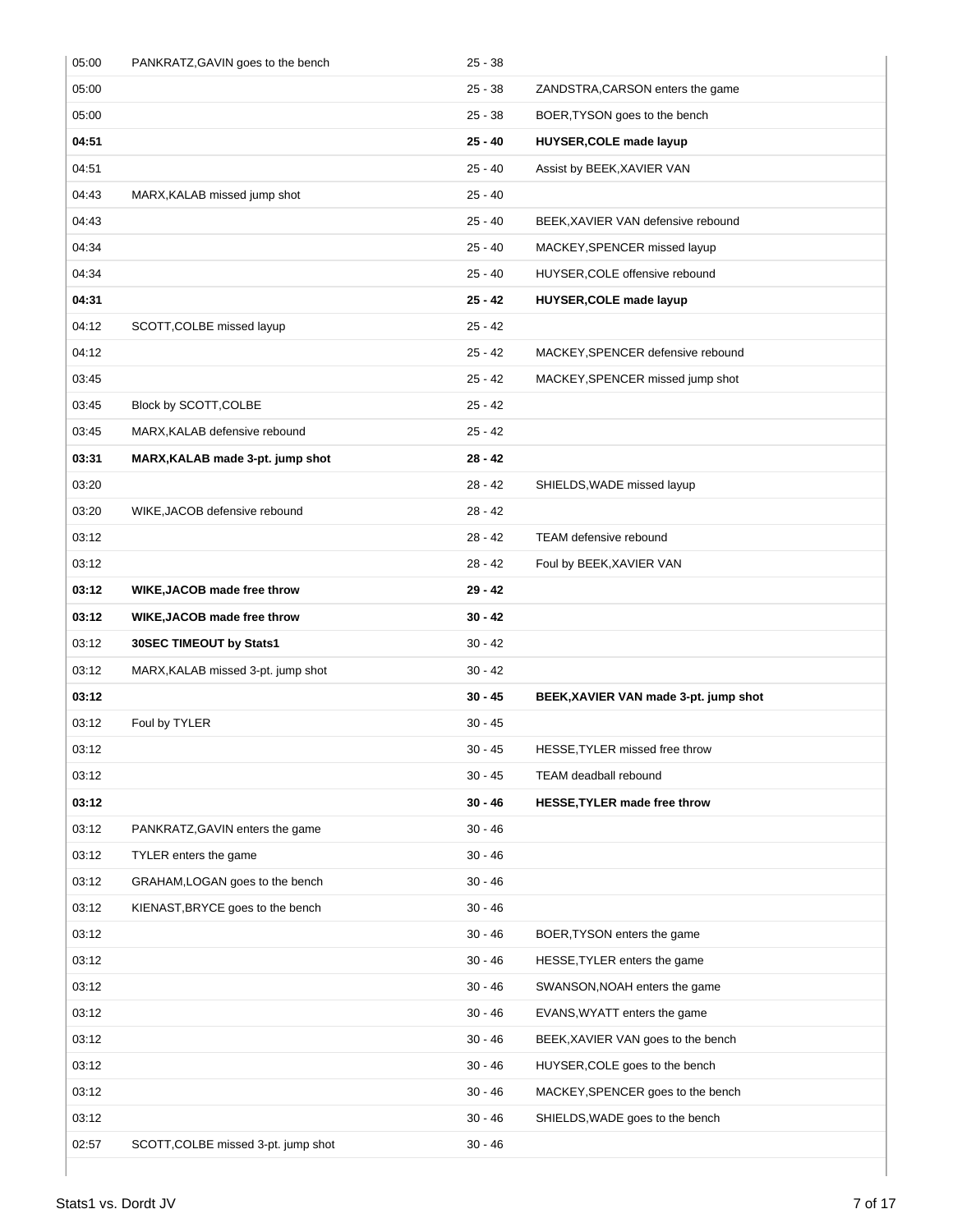| 05:00 | PANKRATZ, GAVIN goes to the bench   | $25 - 38$ |                                       |
|-------|-------------------------------------|-----------|---------------------------------------|
| 05:00 |                                     | $25 - 38$ | ZANDSTRA, CARSON enters the game      |
| 05:00 |                                     | $25 - 38$ | BOER, TYSON goes to the bench         |
| 04:51 |                                     | $25 - 40$ | <b>HUYSER, COLE made layup</b>        |
| 04:51 |                                     | $25 - 40$ | Assist by BEEK, XAVIER VAN            |
| 04:43 | MARX, KALAB missed jump shot        | $25 - 40$ |                                       |
| 04:43 |                                     | $25 - 40$ | BEEK, XAVIER VAN defensive rebound    |
| 04:34 |                                     | $25 - 40$ | MACKEY, SPENCER missed layup          |
| 04:34 |                                     | $25 - 40$ | HUYSER, COLE offensive rebound        |
| 04:31 |                                     | $25 - 42$ | HUYSER, COLE made layup               |
| 04:12 | SCOTT, COLBE missed layup           | $25 - 42$ |                                       |
| 04:12 |                                     | $25 - 42$ | MACKEY, SPENCER defensive rebound     |
| 03:45 |                                     | $25 - 42$ | MACKEY, SPENCER missed jump shot      |
| 03:45 | Block by SCOTT, COLBE               | $25 - 42$ |                                       |
| 03:45 | MARX, KALAB defensive rebound       | $25 - 42$ |                                       |
| 03:31 | MARX, KALAB made 3-pt. jump shot    | $28 - 42$ |                                       |
| 03:20 |                                     | $28 - 42$ | SHIELDS, WADE missed layup            |
| 03:20 | WIKE, JACOB defensive rebound       | $28 - 42$ |                                       |
| 03:12 |                                     | $28 - 42$ | TEAM defensive rebound                |
| 03:12 |                                     | $28 - 42$ | Foul by BEEK, XAVIER VAN              |
| 03:12 | WIKE, JACOB made free throw         | 29 - 42   |                                       |
| 03:12 | WIKE, JACOB made free throw         |           |                                       |
|       |                                     | $30 - 42$ |                                       |
| 03:12 | 30SEC TIMEOUT by Stats1             | $30 - 42$ |                                       |
| 03:12 | MARX, KALAB missed 3-pt. jump shot  | $30 - 42$ |                                       |
| 03:12 |                                     | $30 - 45$ | BEEK, XAVIER VAN made 3-pt. jump shot |
| 03:12 | Foul by TYLER                       | $30 - 45$ |                                       |
| 03:12 |                                     | $30 - 45$ | HESSE, TYLER missed free throw        |
| 03:12 |                                     | $30 - 45$ | TEAM deadball rebound                 |
| 03:12 |                                     | $30 - 46$ | HESSE, TYLER made free throw          |
| 03:12 | PANKRATZ, GAVIN enters the game     | $30 - 46$ |                                       |
| 03:12 | TYLER enters the game               | $30 - 46$ |                                       |
| 03:12 | GRAHAM, LOGAN goes to the bench     | $30 - 46$ |                                       |
| 03:12 | KIENAST, BRYCE goes to the bench    | $30 - 46$ |                                       |
| 03:12 |                                     | $30 - 46$ | BOER, TYSON enters the game           |
| 03:12 |                                     | $30 - 46$ | HESSE, TYLER enters the game          |
| 03:12 |                                     | $30 - 46$ | SWANSON, NOAH enters the game         |
| 03:12 |                                     | $30 - 46$ | EVANS, WYATT enters the game          |
| 03:12 |                                     | $30 - 46$ | BEEK, XAVIER VAN goes to the bench    |
| 03:12 |                                     | $30 - 46$ | HUYSER, COLE goes to the bench        |
| 03:12 |                                     | $30 - 46$ | MACKEY, SPENCER goes to the bench     |
| 03:12 |                                     | $30 - 46$ | SHIELDS, WADE goes to the bench       |
| 02:57 | SCOTT, COLBE missed 3-pt. jump shot | 30 - 46   |                                       |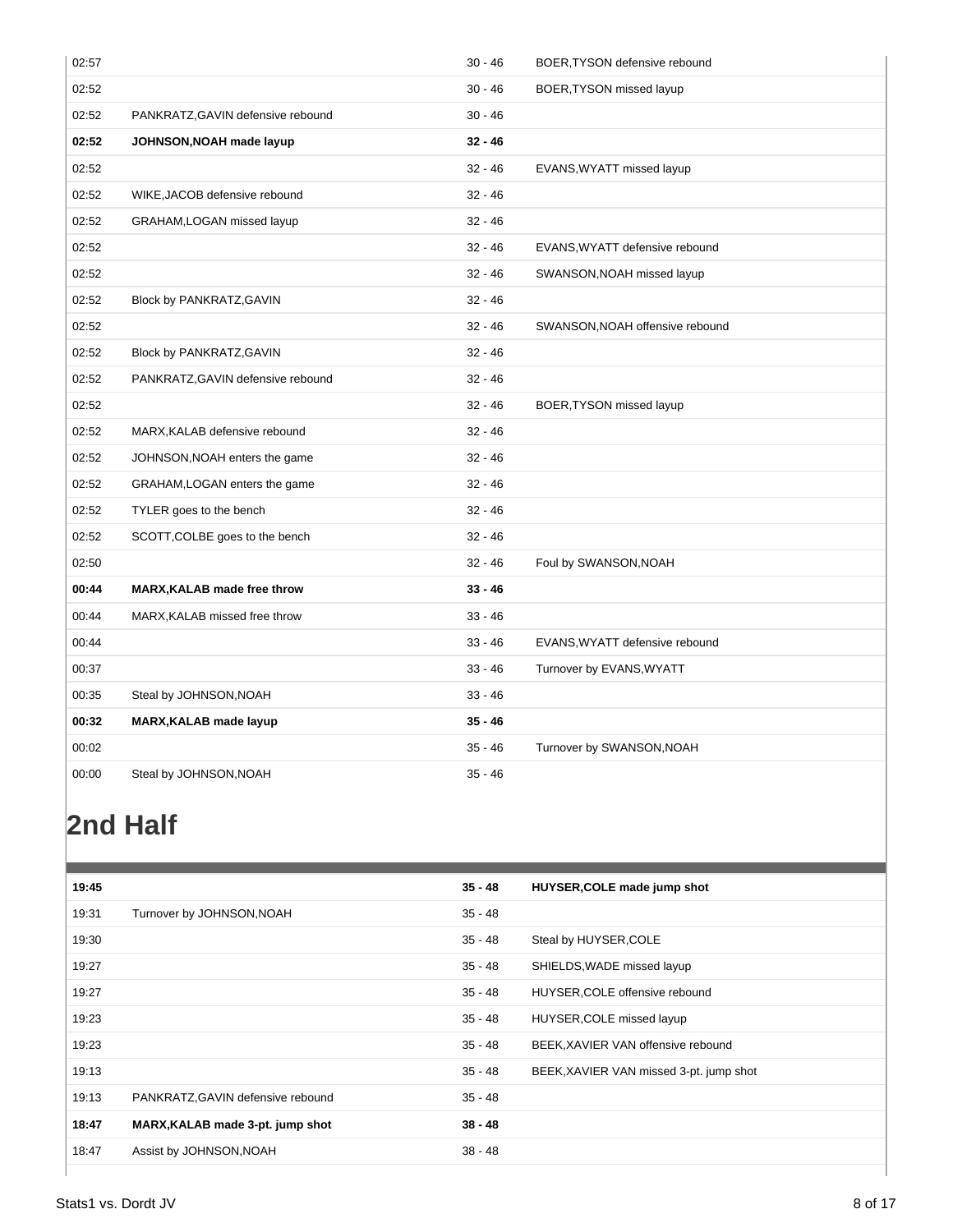| 02:57 |                                   | $30 - 46$ | BOER, TYSON defensive rebound   |
|-------|-----------------------------------|-----------|---------------------------------|
| 02:52 |                                   | $30 - 46$ | BOER, TYSON missed layup        |
| 02:52 | PANKRATZ, GAVIN defensive rebound | $30 - 46$ |                                 |
| 02:52 | JOHNSON, NOAH made layup          | $32 - 46$ |                                 |
| 02:52 |                                   | $32 - 46$ | EVANS, WYATT missed layup       |
| 02:52 | WIKE, JACOB defensive rebound     | $32 - 46$ |                                 |
| 02:52 | GRAHAM, LOGAN missed layup        | $32 - 46$ |                                 |
| 02:52 |                                   | $32 - 46$ | EVANS, WYATT defensive rebound  |
| 02:52 |                                   | $32 - 46$ | SWANSON, NOAH missed layup      |
| 02:52 | Block by PANKRATZ, GAVIN          | $32 - 46$ |                                 |
| 02:52 |                                   | $32 - 46$ | SWANSON, NOAH offensive rebound |
| 02:52 | Block by PANKRATZ, GAVIN          | $32 - 46$ |                                 |
| 02:52 | PANKRATZ, GAVIN defensive rebound | $32 - 46$ |                                 |
| 02:52 |                                   | $32 - 46$ | BOER, TYSON missed layup        |
| 02:52 | MARX, KALAB defensive rebound     | $32 - 46$ |                                 |
| 02:52 | JOHNSON, NOAH enters the game     | $32 - 46$ |                                 |
| 02:52 | GRAHAM, LOGAN enters the game     | $32 - 46$ |                                 |
| 02:52 | TYLER goes to the bench           | $32 - 46$ |                                 |
| 02:52 | SCOTT, COLBE goes to the bench    | $32 - 46$ |                                 |
| 02:50 |                                   | $32 - 46$ | Foul by SWANSON, NOAH           |
| 00:44 | MARX, KALAB made free throw       | $33 - 46$ |                                 |
| 00:44 | MARX, KALAB missed free throw     | $33 - 46$ |                                 |
| 00:44 |                                   | $33 - 46$ | EVANS, WYATT defensive rebound  |
| 00:37 |                                   | $33 - 46$ | Turnover by EVANS, WYATT        |
| 00:35 | Steal by JOHNSON, NOAH            | $33 - 46$ |                                 |
| 00:32 | MARX, KALAB made layup            | $35 - 46$ |                                 |
| 00:02 |                                   | $35 - 46$ | Turnover by SWANSON, NOAH       |
| 00:00 | Steal by JOHNSON, NOAH            | 35 - 46   |                                 |

# **2nd Half**

| 19:45 |                                   | $35 - 48$ | HUYSER, COLE made jump shot             |
|-------|-----------------------------------|-----------|-----------------------------------------|
| 19:31 | Turnover by JOHNSON, NOAH         | $35 - 48$ |                                         |
| 19:30 |                                   | $35 - 48$ | Steal by HUYSER, COLE                   |
| 19:27 |                                   | $35 - 48$ | SHIELDS, WADE missed layup              |
| 19:27 |                                   | $35 - 48$ | HUYSER, COLE offensive rebound          |
| 19:23 |                                   | $35 - 48$ | HUYSER, COLE missed layup               |
| 19:23 |                                   | 35 - 48   | BEEK, XAVIER VAN offensive rebound      |
| 19:13 |                                   | $35 - 48$ | BEEK, XAVIER VAN missed 3-pt. jump shot |
| 19:13 | PANKRATZ, GAVIN defensive rebound | $35 - 48$ |                                         |
| 18:47 | MARX, KALAB made 3-pt. jump shot  | $38 - 48$ |                                         |
| 18:47 | Assist by JOHNSON, NOAH           | $38 - 48$ |                                         |
|       |                                   |           |                                         |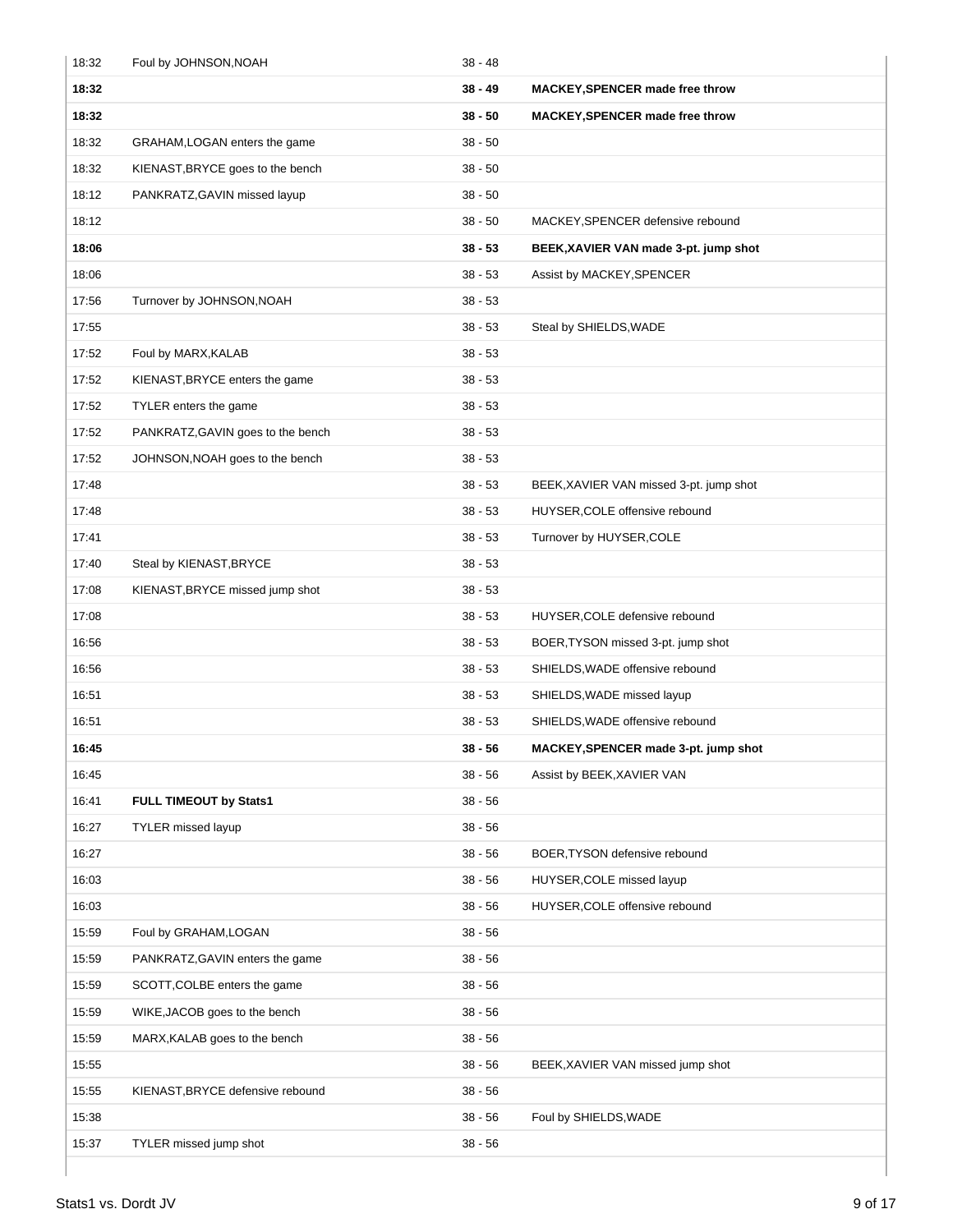| 18:32 | Foul by JOHNSON, NOAH             | 38 - 48   |                                         |
|-------|-----------------------------------|-----------|-----------------------------------------|
| 18:32 |                                   | 38 - 49   | <b>MACKEY, SPENCER made free throw</b>  |
| 18:32 |                                   | 38 - 50   | <b>MACKEY, SPENCER made free throw</b>  |
| 18:32 | GRAHAM, LOGAN enters the game     | $38 - 50$ |                                         |
| 18:32 | KIENAST, BRYCE goes to the bench  | 38 - 50   |                                         |
| 18:12 | PANKRATZ, GAVIN missed layup      | 38 - 50   |                                         |
| 18:12 |                                   | $38 - 50$ | MACKEY, SPENCER defensive rebound       |
| 18:06 |                                   | $38 - 53$ | BEEK, XAVIER VAN made 3-pt. jump shot   |
| 18:06 |                                   | $38 - 53$ | Assist by MACKEY, SPENCER               |
| 17:56 | Turnover by JOHNSON, NOAH         | $38 - 53$ |                                         |
| 17:55 |                                   | 38 - 53   | Steal by SHIELDS, WADE                  |
| 17:52 | Foul by MARX, KALAB               | $38 - 53$ |                                         |
| 17:52 | KIENAST, BRYCE enters the game    | 38 - 53   |                                         |
| 17:52 | TYLER enters the game             | $38 - 53$ |                                         |
| 17:52 | PANKRATZ, GAVIN goes to the bench | 38 - 53   |                                         |
| 17:52 | JOHNSON, NOAH goes to the bench   | 38 - 53   |                                         |
| 17:48 |                                   | $38 - 53$ | BEEK, XAVIER VAN missed 3-pt. jump shot |
| 17:48 |                                   | $38 - 53$ | HUYSER, COLE offensive rebound          |
| 17:41 |                                   | $38 - 53$ | Turnover by HUYSER, COLE                |
| 17:40 | Steal by KIENAST, BRYCE           | $38 - 53$ |                                         |
| 17:08 | KIENAST, BRYCE missed jump shot   | $38 - 53$ |                                         |
| 17:08 |                                   | $38 - 53$ | HUYSER, COLE defensive rebound          |
| 16:56 |                                   | $38 - 53$ | BOER, TYSON missed 3-pt. jump shot      |
| 16:56 |                                   | $38 - 53$ | SHIELDS, WADE offensive rebound         |
| 16:51 |                                   | $38 - 53$ | SHIELDS, WADE missed layup              |
| 16:51 |                                   | 38 - 53   | SHIELDS, WADE offensive rebound         |
| 16:45 |                                   | $38 - 56$ | MACKEY, SPENCER made 3-pt. jump shot    |
| 16:45 |                                   | $38 - 56$ | Assist by BEEK, XAVIER VAN              |
| 16:41 | FULL TIMEOUT by Stats1            | $38 - 56$ |                                         |
| 16:27 | TYLER missed layup                | 38 - 56   |                                         |
| 16:27 |                                   | $38 - 56$ | BOER, TYSON defensive rebound           |
| 16:03 |                                   | $38 - 56$ | HUYSER, COLE missed layup               |
| 16:03 |                                   | $38 - 56$ | HUYSER, COLE offensive rebound          |
| 15:59 | Foul by GRAHAM, LOGAN             | $38 - 56$ |                                         |
| 15:59 | PANKRATZ, GAVIN enters the game   | $38 - 56$ |                                         |
| 15:59 | SCOTT, COLBE enters the game      | 38 - 56   |                                         |
| 15:59 | WIKE, JACOB goes to the bench     | 38 - 56   |                                         |
| 15:59 | MARX, KALAB goes to the bench     | $38 - 56$ |                                         |
| 15:55 |                                   | $38 - 56$ | BEEK, XAVIER VAN missed jump shot       |
| 15:55 | KIENAST, BRYCE defensive rebound  | $38 - 56$ |                                         |
| 15:38 |                                   | 38 - 56   | Foul by SHIELDS, WADE                   |
| 15:37 | TYLER missed jump shot            | $38 - 56$ |                                         |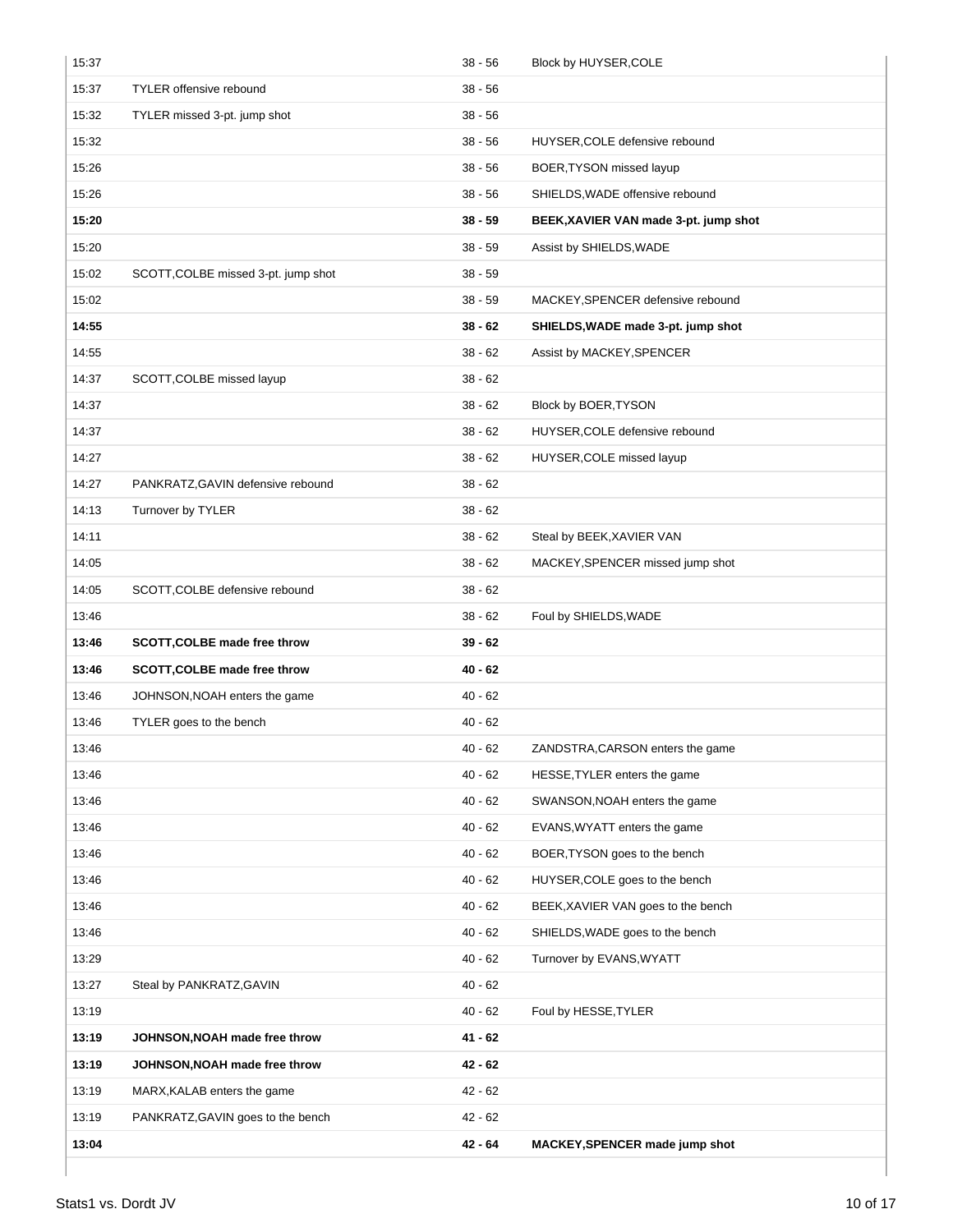| 15:37 |                                     | $38 - 56$ | Block by HUYSER, COLE                 |
|-------|-------------------------------------|-----------|---------------------------------------|
| 15:37 | <b>TYLER</b> offensive rebound      | $38 - 56$ |                                       |
| 15:32 | TYLER missed 3-pt. jump shot        | $38 - 56$ |                                       |
| 15:32 |                                     | $38 - 56$ | HUYSER, COLE defensive rebound        |
| 15:26 |                                     | $38 - 56$ | BOER, TYSON missed layup              |
| 15:26 |                                     | $38 - 56$ | SHIELDS, WADE offensive rebound       |
| 15:20 |                                     | $38 - 59$ | BEEK, XAVIER VAN made 3-pt. jump shot |
| 15:20 |                                     | $38 - 59$ | Assist by SHIELDS, WADE               |
| 15:02 | SCOTT, COLBE missed 3-pt. jump shot | $38 - 59$ |                                       |
| 15:02 |                                     | $38 - 59$ | MACKEY, SPENCER defensive rebound     |
| 14:55 |                                     | $38 - 62$ | SHIELDS, WADE made 3-pt. jump shot    |
| 14:55 |                                     | $38 - 62$ | Assist by MACKEY, SPENCER             |
| 14:37 | SCOTT, COLBE missed layup           | $38 - 62$ |                                       |
| 14:37 |                                     | $38 - 62$ | Block by BOER, TYSON                  |
| 14:37 |                                     | $38 - 62$ | HUYSER, COLE defensive rebound        |
| 14:27 |                                     | $38 - 62$ | HUYSER, COLE missed layup             |
| 14:27 | PANKRATZ, GAVIN defensive rebound   | $38 - 62$ |                                       |
| 14:13 | Turnover by TYLER                   | $38 - 62$ |                                       |
| 14:11 |                                     | $38 - 62$ | Steal by BEEK, XAVIER VAN             |
| 14:05 |                                     | $38 - 62$ | MACKEY, SPENCER missed jump shot      |
| 14:05 | SCOTT, COLBE defensive rebound      | $38 - 62$ |                                       |
|       |                                     |           |                                       |
| 13:46 |                                     | $38 - 62$ | Foul by SHIELDS, WADE                 |
| 13:46 | SCOTT, COLBE made free throw        | $39 - 62$ |                                       |
| 13:46 | SCOTT, COLBE made free throw        | $40 - 62$ |                                       |
| 13:46 | JOHNSON, NOAH enters the game       | $40 - 62$ |                                       |
| 13:46 | TYLER goes to the bench             | $40 - 62$ |                                       |
| 13:46 |                                     | 40 - 62   | ZANDSTRA, CARSON enters the game      |
| 13:46 |                                     | $40 - 62$ | HESSE, TYLER enters the game          |
| 13:46 |                                     | $40 - 62$ | SWANSON, NOAH enters the game         |
| 13:46 |                                     | $40 - 62$ | EVANS, WYATT enters the game          |
| 13:46 |                                     | $40 - 62$ | BOER, TYSON goes to the bench         |
| 13:46 |                                     | $40 - 62$ | HUYSER, COLE goes to the bench        |
| 13:46 |                                     | $40 - 62$ | BEEK, XAVIER VAN goes to the bench    |
| 13:46 |                                     | $40 - 62$ | SHIELDS, WADE goes to the bench       |
| 13:29 |                                     | $40 - 62$ | Turnover by EVANS, WYATT              |
| 13:27 | Steal by PANKRATZ, GAVIN            | $40 - 62$ |                                       |
| 13:19 |                                     | $40 - 62$ | Foul by HESSE, TYLER                  |
| 13:19 | JOHNSON, NOAH made free throw       | 41 - 62   |                                       |
| 13:19 | JOHNSON, NOAH made free throw       | 42 - 62   |                                       |
| 13:19 | MARX, KALAB enters the game         | $42 - 62$ |                                       |
| 13:19 | PANKRATZ, GAVIN goes to the bench   | $42 - 62$ |                                       |
| 13:04 |                                     | $42 - 64$ | MACKEY, SPENCER made jump shot        |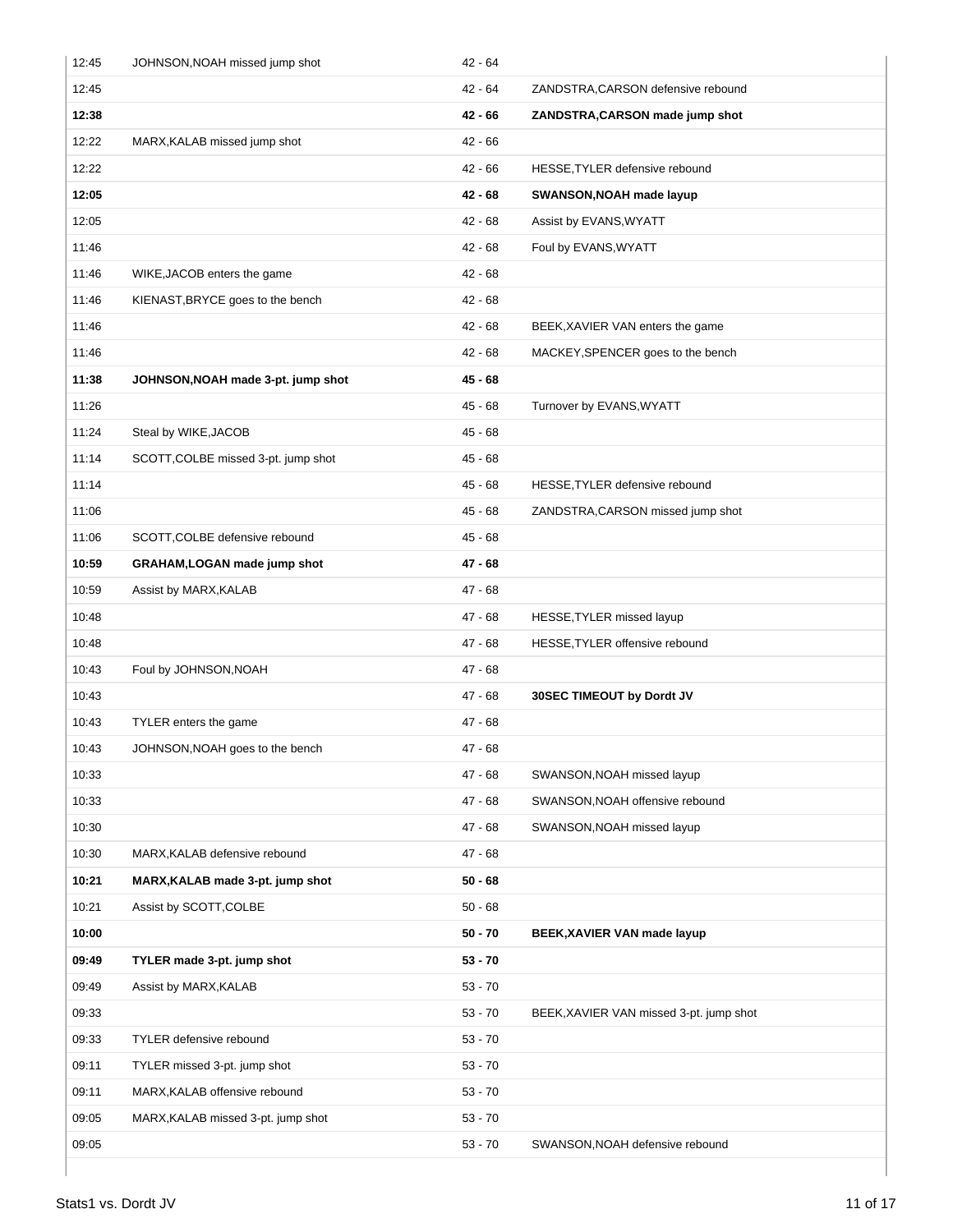| 12:45 | JOHNSON, NOAH missed jump shot      | $42 - 64$ |                                         |
|-------|-------------------------------------|-----------|-----------------------------------------|
| 12:45 |                                     | $42 - 64$ | ZANDSTRA, CARSON defensive rebound      |
| 12:38 |                                     | $42 - 66$ | ZANDSTRA, CARSON made jump shot         |
| 12:22 | MARX, KALAB missed jump shot        | $42 - 66$ |                                         |
| 12:22 |                                     | $42 - 66$ | HESSE, TYLER defensive rebound          |
| 12:05 |                                     | $42 - 68$ | SWANSON, NOAH made layup                |
| 12:05 |                                     | $42 - 68$ | Assist by EVANS, WYATT                  |
| 11:46 |                                     | $42 - 68$ | Foul by EVANS, WYATT                    |
| 11:46 | WIKE, JACOB enters the game         | $42 - 68$ |                                         |
| 11:46 | KIENAST, BRYCE goes to the bench    | $42 - 68$ |                                         |
| 11:46 |                                     | $42 - 68$ | BEEK, XAVIER VAN enters the game        |
| 11:46 |                                     | $42 - 68$ | MACKEY, SPENCER goes to the bench       |
| 11:38 | JOHNSON, NOAH made 3-pt. jump shot  | 45 - 68   |                                         |
| 11:26 |                                     | $45 - 68$ | Turnover by EVANS, WYATT                |
| 11:24 | Steal by WIKE, JACOB                | $45 - 68$ |                                         |
| 11:14 | SCOTT, COLBE missed 3-pt. jump shot | $45 - 68$ |                                         |
| 11:14 |                                     | $45 - 68$ | HESSE, TYLER defensive rebound          |
| 11:06 |                                     | $45 - 68$ | ZANDSTRA, CARSON missed jump shot       |
| 11:06 | SCOTT, COLBE defensive rebound      | $45 - 68$ |                                         |
| 10:59 | GRAHAM, LOGAN made jump shot        | 47 - 68   |                                         |
| 10:59 | Assist by MARX, KALAB               | $47 - 68$ |                                         |
| 10:48 |                                     | $47 - 68$ | HESSE, TYLER missed layup               |
| 10:48 |                                     | $47 - 68$ | HESSE, TYLER offensive rebound          |
| 10:43 | Foul by JOHNSON, NOAH               | 47 - 68   |                                         |
| 10:43 |                                     | 47 - 68   | 30SEC TIMEOUT by Dordt JV               |
| 10:43 | TYLER enters the game               | $47 - 68$ |                                         |
| 10:43 | JOHNSON, NOAH goes to the bench     | 47 - 68   |                                         |
| 10:33 |                                     | 47 - 68   | SWANSON, NOAH missed layup              |
| 10:33 |                                     | $47 - 68$ | SWANSON, NOAH offensive rebound         |
| 10:30 |                                     | $47 - 68$ | SWANSON, NOAH missed layup              |
| 10:30 | MARX, KALAB defensive rebound       | $47 - 68$ |                                         |
| 10:21 | MARX, KALAB made 3-pt. jump shot    | $50 - 68$ |                                         |
| 10:21 | Assist by SCOTT, COLBE              | $50 - 68$ |                                         |
| 10:00 |                                     | $50 - 70$ | BEEK, XAVIER VAN made layup             |
| 09:49 | TYLER made 3-pt. jump shot          | $53 - 70$ |                                         |
| 09:49 | Assist by MARX, KALAB               | $53 - 70$ |                                         |
| 09:33 |                                     | $53 - 70$ | BEEK, XAVIER VAN missed 3-pt. jump shot |
| 09:33 | TYLER defensive rebound             | $53 - 70$ |                                         |
| 09:11 | TYLER missed 3-pt. jump shot        | $53 - 70$ |                                         |
| 09:11 | MARX, KALAB offensive rebound       | $53 - 70$ |                                         |
| 09:05 | MARX, KALAB missed 3-pt. jump shot  | $53 - 70$ |                                         |
| 09:05 |                                     | $53 - 70$ | SWANSON, NOAH defensive rebound         |
|       |                                     |           |                                         |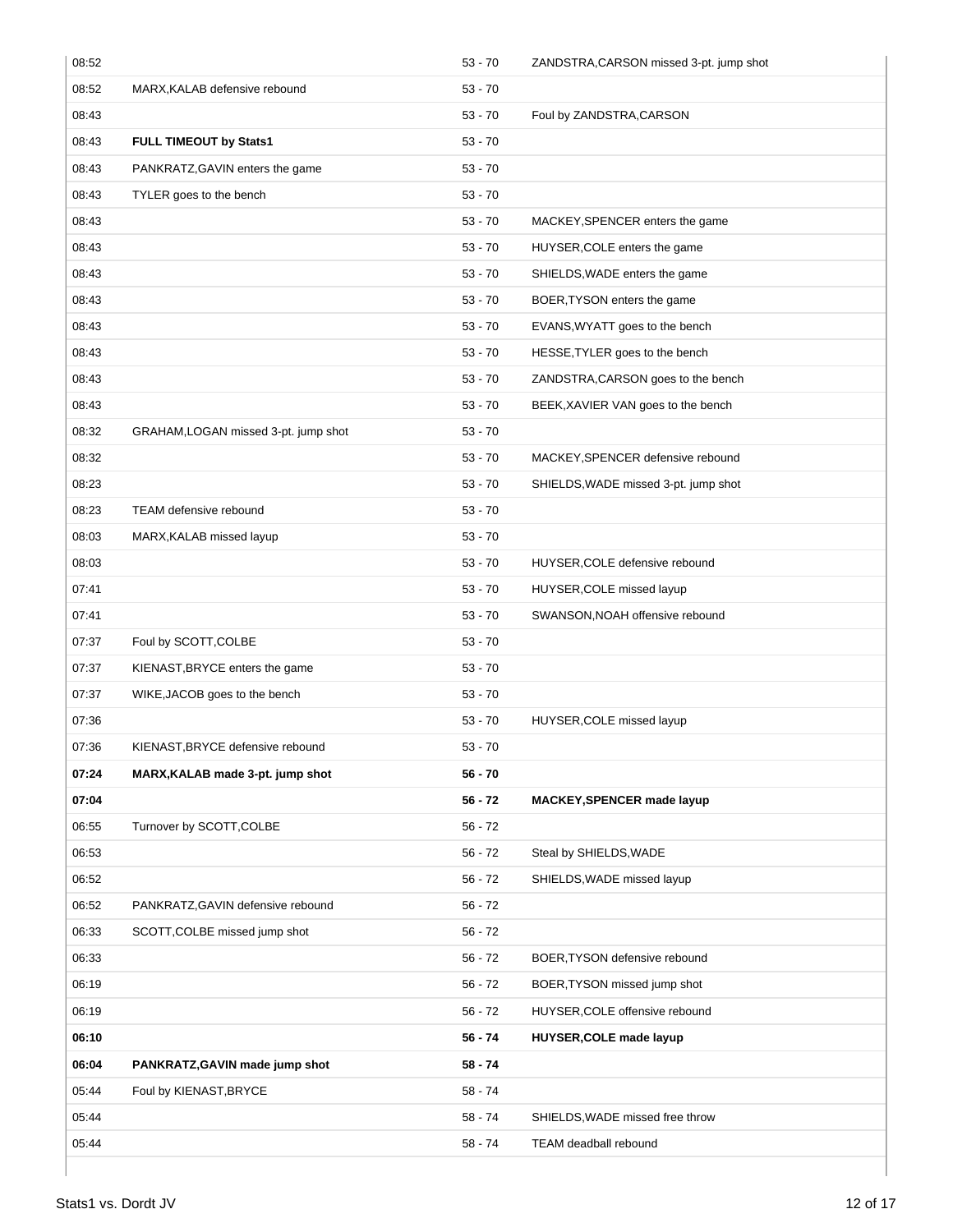| 08:52 |                                      | $53 - 70$ | ZANDSTRA, CARSON missed 3-pt. jump shot |
|-------|--------------------------------------|-----------|-----------------------------------------|
| 08:52 | MARX, KALAB defensive rebound        | $53 - 70$ |                                         |
| 08:43 |                                      | $53 - 70$ | Foul by ZANDSTRA, CARSON                |
| 08:43 | FULL TIMEOUT by Stats1               | $53 - 70$ |                                         |
| 08:43 | PANKRATZ, GAVIN enters the game      | $53 - 70$ |                                         |
| 08:43 | TYLER goes to the bench              | $53 - 70$ |                                         |
| 08:43 |                                      | $53 - 70$ | MACKEY, SPENCER enters the game         |
| 08:43 |                                      | $53 - 70$ | HUYSER, COLE enters the game            |
| 08:43 |                                      | $53 - 70$ | SHIELDS, WADE enters the game           |
| 08:43 |                                      | $53 - 70$ | BOER, TYSON enters the game             |
| 08:43 |                                      | $53 - 70$ | EVANS, WYATT goes to the bench          |
| 08:43 |                                      | $53 - 70$ | HESSE, TYLER goes to the bench          |
| 08:43 |                                      | $53 - 70$ | ZANDSTRA, CARSON goes to the bench      |
| 08:43 |                                      | $53 - 70$ | BEEK, XAVIER VAN goes to the bench      |
| 08:32 | GRAHAM, LOGAN missed 3-pt. jump shot | $53 - 70$ |                                         |
| 08:32 |                                      | $53 - 70$ | MACKEY, SPENCER defensive rebound       |
| 08:23 |                                      | $53 - 70$ | SHIELDS, WADE missed 3-pt. jump shot    |
| 08:23 | <b>TEAM</b> defensive rebound        | $53 - 70$ |                                         |
| 08:03 | MARX, KALAB missed layup             | $53 - 70$ |                                         |
| 08:03 |                                      | $53 - 70$ | HUYSER, COLE defensive rebound          |
| 07:41 |                                      | $53 - 70$ | HUYSER, COLE missed layup               |
| 07:41 |                                      | $53 - 70$ | SWANSON, NOAH offensive rebound         |
| 07:37 | Foul by SCOTT, COLBE                 | $53 - 70$ |                                         |
| 07:37 | KIENAST, BRYCE enters the game       | $53 - 70$ |                                         |
| 07:37 | WIKE, JACOB goes to the bench        | $53 - 70$ |                                         |
| 07:36 |                                      | $53 - 70$ | HUYSER, COLE missed layup               |
| 07:36 | KIENAST, BRYCE defensive rebound     | $53 - 70$ |                                         |
| 07:24 | MARX, KALAB made 3-pt. jump shot     | $56 - 70$ |                                         |
| 07:04 |                                      | $56 - 72$ | MACKEY, SPENCER made layup              |
| 06:55 | Turnover by SCOTT, COLBE             | $56 - 72$ |                                         |
| 06:53 |                                      | $56 - 72$ | Steal by SHIELDS, WADE                  |
| 06:52 |                                      | $56 - 72$ | SHIELDS, WADE missed layup              |
| 06:52 | PANKRATZ, GAVIN defensive rebound    | $56 - 72$ |                                         |
| 06:33 | SCOTT, COLBE missed jump shot        | $56 - 72$ |                                         |
| 06:33 |                                      | $56 - 72$ | BOER, TYSON defensive rebound           |
| 06:19 |                                      | $56 - 72$ | BOER, TYSON missed jump shot            |
| 06:19 |                                      | $56 - 72$ | HUYSER, COLE offensive rebound          |
| 06:10 |                                      | 56 - 74   | <b>HUYSER, COLE made layup</b>          |
| 06:04 | PANKRATZ, GAVIN made jump shot       | 58 - 74   |                                         |
| 05:44 | Foul by KIENAST, BRYCE               | $58 - 74$ |                                         |
| 05:44 |                                      | 58 - 74   | SHIELDS, WADE missed free throw         |
| 05:44 |                                      | $58 - 74$ | TEAM deadball rebound                   |
|       |                                      |           |                                         |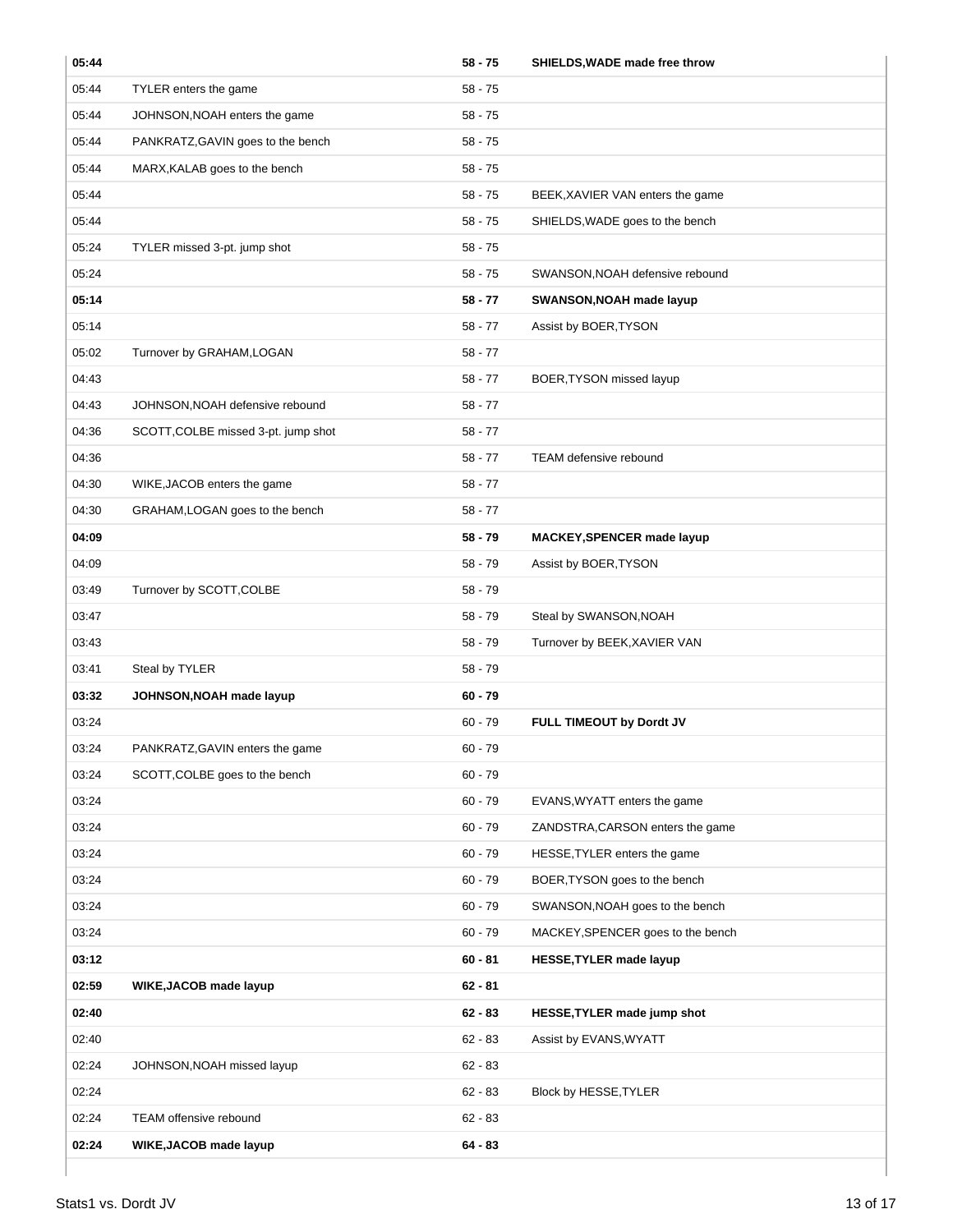| 05:44 |                                     | $58 - 75$ | SHIELDS, WADE made free throw     |
|-------|-------------------------------------|-----------|-----------------------------------|
| 05:44 | TYLER enters the game               | $58 - 75$ |                                   |
| 05:44 | JOHNSON, NOAH enters the game       | $58 - 75$ |                                   |
| 05:44 | PANKRATZ, GAVIN goes to the bench   | $58 - 75$ |                                   |
| 05:44 | MARX, KALAB goes to the bench       | $58 - 75$ |                                   |
| 05:44 |                                     | $58 - 75$ | BEEK, XAVIER VAN enters the game  |
| 05:44 |                                     | $58 - 75$ | SHIELDS, WADE goes to the bench   |
| 05:24 | TYLER missed 3-pt. jump shot        | $58 - 75$ |                                   |
| 05:24 |                                     | $58 - 75$ | SWANSON, NOAH defensive rebound   |
| 05:14 |                                     | $58 - 77$ | SWANSON, NOAH made layup          |
| 05:14 |                                     | $58 - 77$ | Assist by BOER, TYSON             |
| 05:02 | Turnover by GRAHAM, LOGAN           | $58 - 77$ |                                   |
| 04:43 |                                     | $58 - 77$ | BOER, TYSON missed layup          |
| 04:43 | JOHNSON, NOAH defensive rebound     | $58 - 77$ |                                   |
| 04:36 | SCOTT, COLBE missed 3-pt. jump shot | $58 - 77$ |                                   |
| 04:36 |                                     | $58 - 77$ | TEAM defensive rebound            |
| 04:30 | WIKE, JACOB enters the game         | $58 - 77$ |                                   |
| 04:30 | GRAHAM, LOGAN goes to the bench     | $58 - 77$ |                                   |
| 04:09 |                                     | $58 - 79$ | MACKEY, SPENCER made layup        |
| 04:09 |                                     | $58 - 79$ | Assist by BOER, TYSON             |
| 03:49 | Turnover by SCOTT, COLBE            | $58 - 79$ |                                   |
| 03:47 |                                     | $58 - 79$ | Steal by SWANSON, NOAH            |
| 03:43 |                                     | $58 - 79$ | Turnover by BEEK, XAVIER VAN      |
| 03:41 | Steal by TYLER                      | $58 - 79$ |                                   |
| 03:32 | JOHNSON, NOAH made layup            | $60 - 79$ |                                   |
| 03:24 |                                     | $60 - 79$ | FULL TIMEOUT by Dordt JV          |
| 03:24 | PANKRATZ, GAVIN enters the game     | $60 - 79$ |                                   |
| 03:24 | SCOTT, COLBE goes to the bench      | $60 - 79$ |                                   |
| 03:24 |                                     | $60 - 79$ | EVANS, WYATT enters the game      |
| 03:24 |                                     | $60 - 79$ | ZANDSTRA, CARSON enters the game  |
| 03:24 |                                     | $60 - 79$ | HESSE, TYLER enters the game      |
| 03:24 |                                     | $60 - 79$ | BOER, TYSON goes to the bench     |
| 03:24 |                                     | $60 - 79$ | SWANSON, NOAH goes to the bench   |
| 03:24 |                                     | $60 - 79$ | MACKEY, SPENCER goes to the bench |
| 03:12 |                                     | $60 - 81$ | <b>HESSE, TYLER made layup</b>    |
| 02:59 | WIKE, JACOB made layup              | $62 - 81$ |                                   |
| 02:40 |                                     | $62 - 83$ | HESSE, TYLER made jump shot       |
| 02:40 |                                     | $62 - 83$ | Assist by EVANS, WYATT            |
| 02:24 | JOHNSON, NOAH missed layup          | $62 - 83$ |                                   |
| 02:24 |                                     | $62 - 83$ | Block by HESSE, TYLER             |
| 02:24 | TEAM offensive rebound              | $62 - 83$ |                                   |
| 02:24 | WIKE, JACOB made layup              | $64 - 83$ |                                   |
|       |                                     |           |                                   |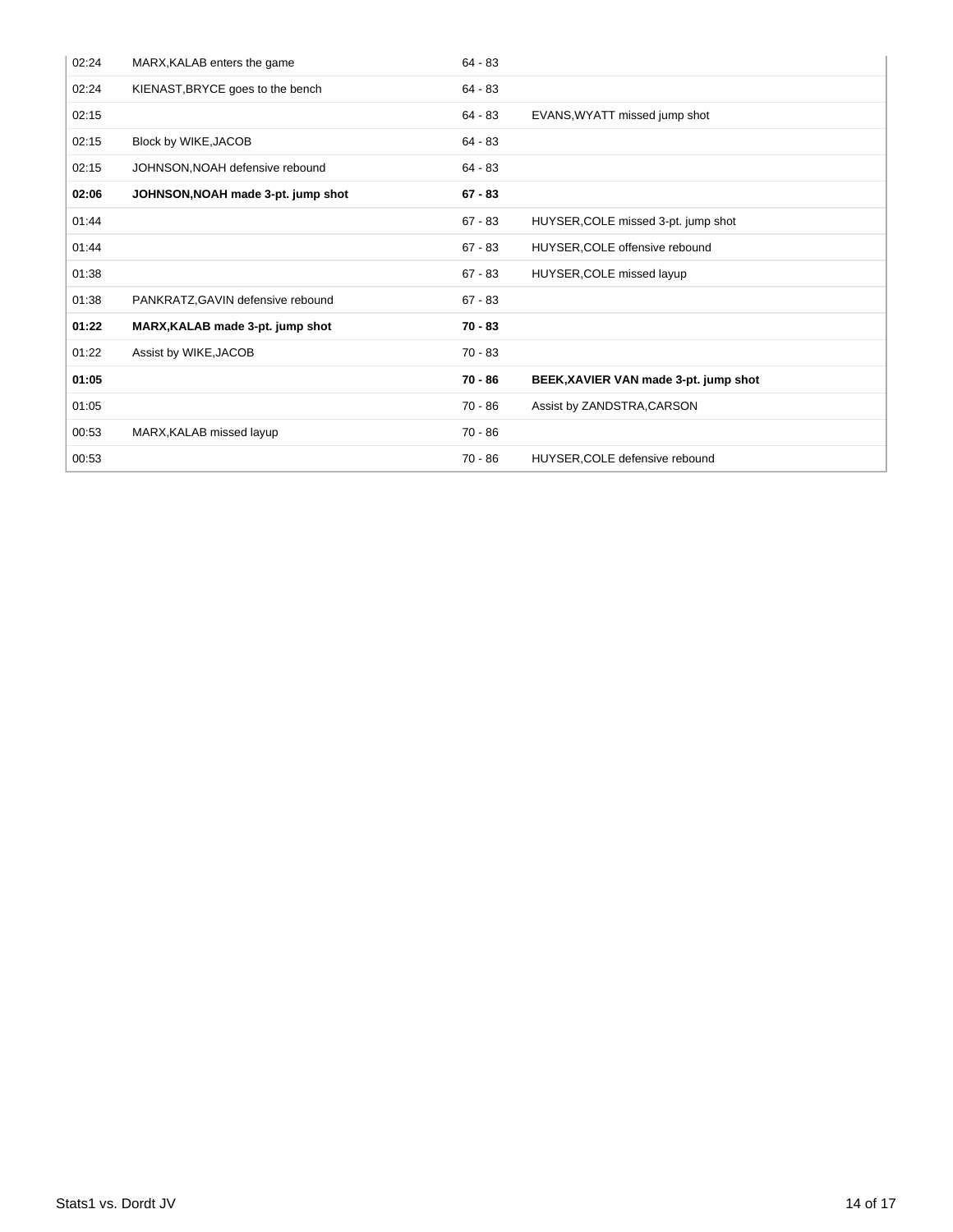| 02:24 | MARX, KALAB enters the game        | $64 - 83$ |                                       |
|-------|------------------------------------|-----------|---------------------------------------|
| 02:24 | KIENAST, BRYCE goes to the bench   | $64 - 83$ |                                       |
| 02:15 |                                    | 64 - 83   | EVANS, WYATT missed jump shot         |
| 02:15 | Block by WIKE, JACOB               | $64 - 83$ |                                       |
| 02:15 | JOHNSON, NOAH defensive rebound    | $64 - 83$ |                                       |
| 02:06 | JOHNSON, NOAH made 3-pt. jump shot | $67 - 83$ |                                       |
| 01:44 |                                    | $67 - 83$ | HUYSER, COLE missed 3-pt. jump shot   |
| 01:44 |                                    | $67 - 83$ | HUYSER, COLE offensive rebound        |
| 01:38 |                                    | $67 - 83$ | HUYSER, COLE missed layup             |
| 01:38 | PANKRATZ, GAVIN defensive rebound  | $67 - 83$ |                                       |
| 01:22 | MARX, KALAB made 3-pt. jump shot   | $70 - 83$ |                                       |
| 01:22 | Assist by WIKE, JACOB              | $70 - 83$ |                                       |
| 01:05 |                                    | 70 - 86   | BEEK, XAVIER VAN made 3-pt. jump shot |
| 01:05 |                                    | 70 - 86   | Assist by ZANDSTRA, CARSON            |
| 00:53 | MARX, KALAB missed layup           | $70 - 86$ |                                       |
| 00:53 |                                    | 70 - 86   | HUYSER, COLE defensive rebound        |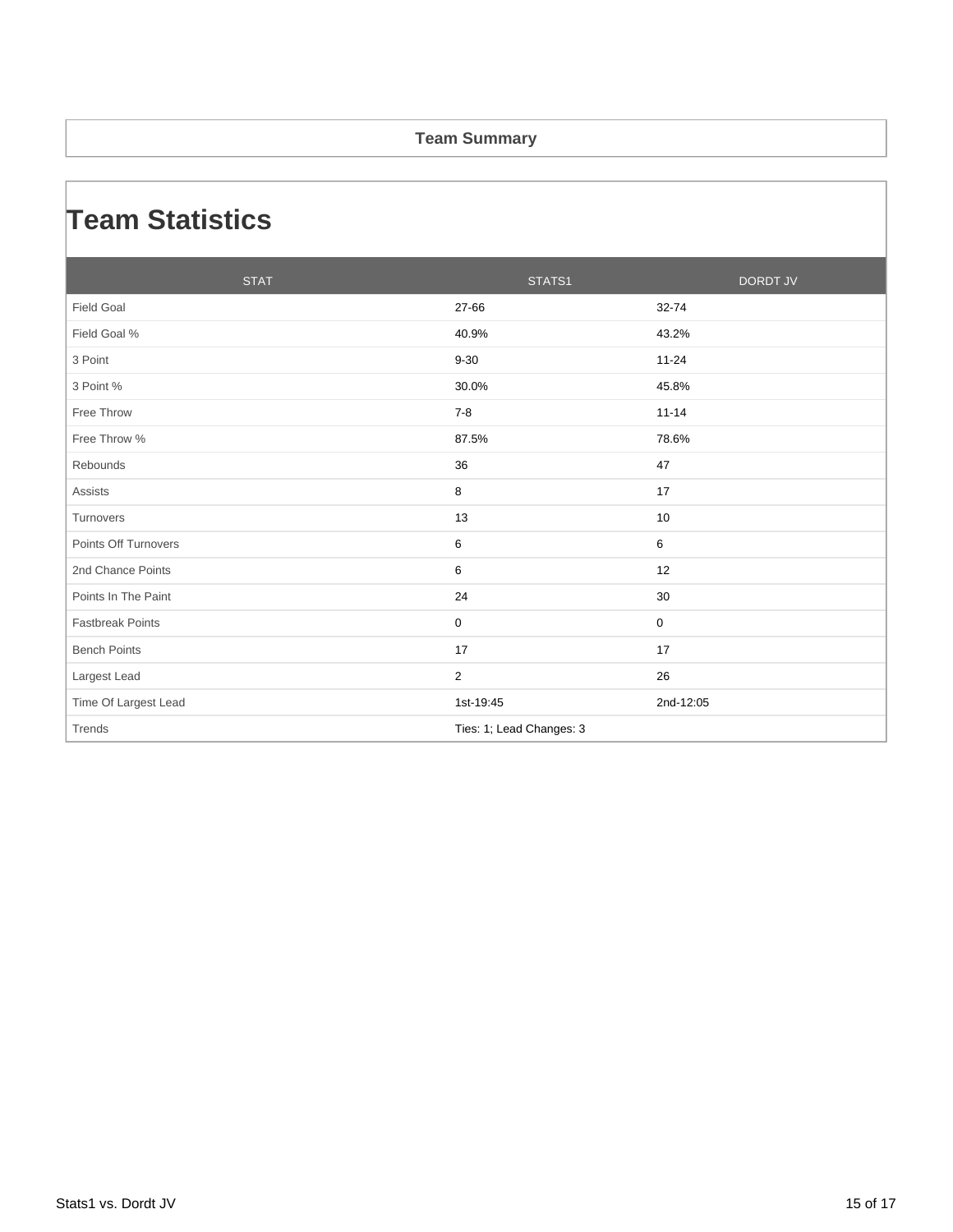#### **Team Summary**

### **Team Statistics**

| <b>STAT</b>             | STATS1                   | <b>DORDT JV</b> |
|-------------------------|--------------------------|-----------------|
| <b>Field Goal</b>       | 27-66                    | 32-74           |
| Field Goal %            | 40.9%                    | 43.2%           |
| 3 Point                 | $9 - 30$                 | $11 - 24$       |
| 3 Point %               | 30.0%                    | 45.8%           |
| Free Throw              | $7 - 8$                  | $11 - 14$       |
| Free Throw %            | 87.5%                    | 78.6%           |
| Rebounds                | 36                       | 47              |
| <b>Assists</b>          | 8                        | 17              |
| Turnovers               | 13                       | 10              |
| Points Off Turnovers    | 6                        | 6               |
| 2nd Chance Points       | 6                        | 12              |
| Points In The Paint     | 24                       | 30              |
| <b>Fastbreak Points</b> | $\mathbf 0$              | 0               |
| <b>Bench Points</b>     | 17                       | 17              |
| Largest Lead            | $\overline{2}$           | 26              |
| Time Of Largest Lead    | 1st-19:45                | 2nd-12:05       |
| Trends                  | Ties: 1; Lead Changes: 3 |                 |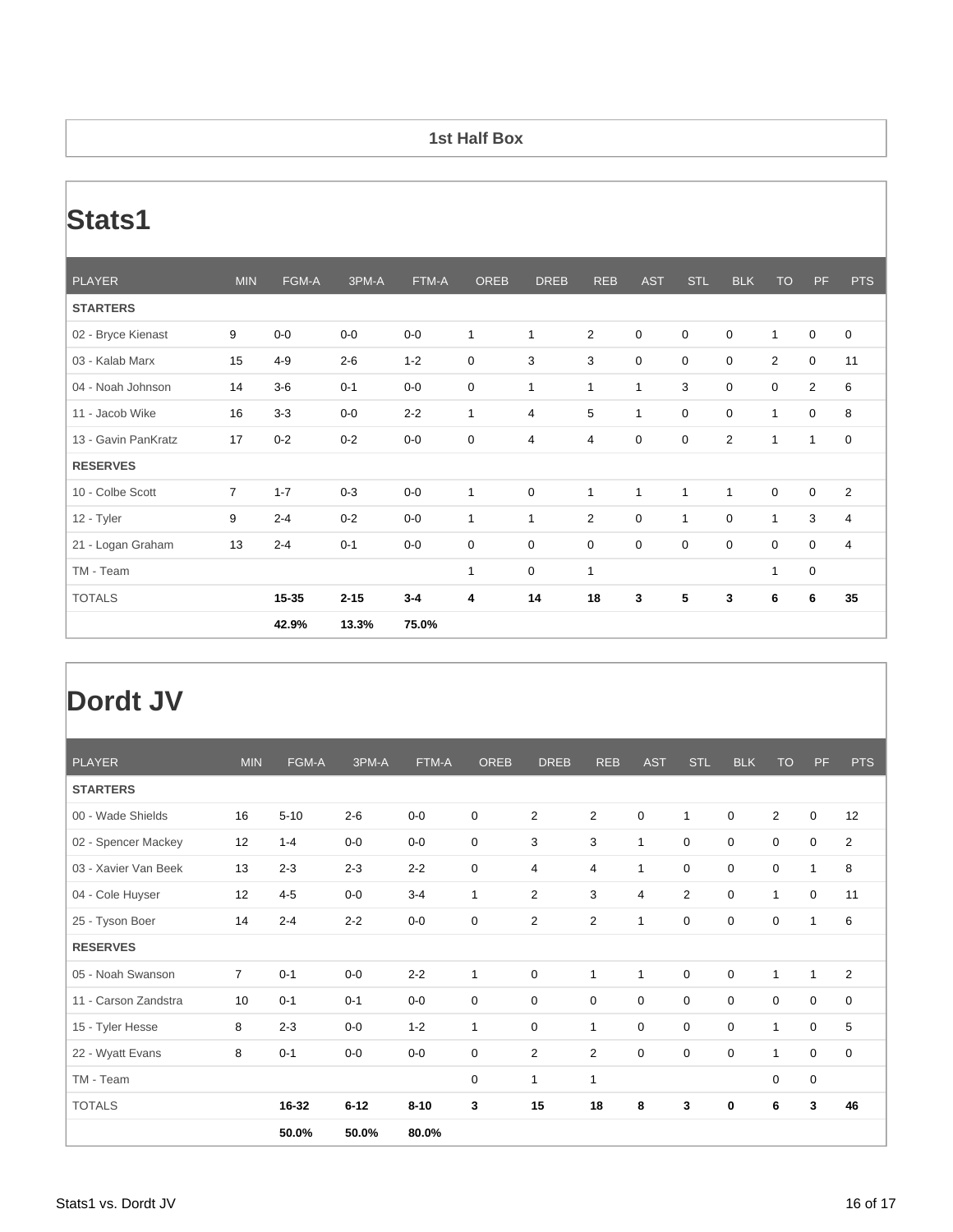#### **1st Half Box**

# **Stats1**

| <b>PLAYER</b>       | <b>MIN</b>     | FGM-A   | 3PM-A    | FTM-A   | <b>OREB</b>  | <b>DREB</b>             | <b>REB</b>     | <b>AST</b>   | <b>STL</b>   | <b>BLK</b>       | <b>TO</b>    | PF             | <b>PTS</b>     |
|---------------------|----------------|---------|----------|---------|--------------|-------------------------|----------------|--------------|--------------|------------------|--------------|----------------|----------------|
| <b>STARTERS</b>     |                |         |          |         |              |                         |                |              |              |                  |              |                |                |
| 02 - Bryce Kienast  | 9              | $0-0$   | $0-0$    | $0-0$   | $\mathbf{1}$ | $\mathbf{1}$            | $\overline{2}$ | 0            | $\pmb{0}$    | $\boldsymbol{0}$ | $\mathbf{1}$ | $\mathbf 0$    | $\mathbf 0$    |
| 03 - Kalab Marx     | 15             | $4 - 9$ | $2 - 6$  | $1 - 2$ | 0            | 3                       | 3              | 0            | $\mathbf 0$  | $\mathbf 0$      | 2            | $\mathbf 0$    | 11             |
| 04 - Noah Johnson   | 14             | $3-6$   | $0 - 1$  | $0-0$   | 0            | $\mathbf{1}$            | 1              | $\mathbf{1}$ | 3            | $\pmb{0}$        | $\mathbf 0$  | $\overline{2}$ | 6              |
| 11 - Jacob Wike     | 16             | $3-3$   | $0-0$    | $2 - 2$ | $\mathbf{1}$ | $\overline{\mathbf{4}}$ | 5              | $\mathbf{1}$ | $\pmb{0}$    | $\boldsymbol{0}$ | $\mathbf{1}$ | $\mathbf 0$    | 8              |
| 13 - Gavin PanKratz | 17             | $0 - 2$ | $0 - 2$  | $0-0$   | 0            | 4                       | 4              | 0            | 0            | $\overline{2}$   | $\mathbf{1}$ | $\mathbf{1}$   | $\mathbf 0$    |
| <b>RESERVES</b>     |                |         |          |         |              |                         |                |              |              |                  |              |                |                |
| 10 - Colbe Scott    | $\overline{7}$ | $1 - 7$ | $0 - 3$  | $0-0$   | $\mathbf{1}$ | 0                       | 1              | $\mathbf{1}$ | $\mathbf{1}$ | $\mathbf{1}$     | $\mathbf 0$  | $\mathbf 0$    | $\overline{2}$ |
| 12 - Tyler          | 9              | $2 - 4$ | $0 - 2$  | $0-0$   | $\mathbf{1}$ | $\mathbf{1}$            | $\overline{2}$ | 0            | $\mathbf{1}$ | $\mathbf 0$      | $\mathbf{1}$ | 3              | 4              |
| 21 - Logan Graham   | 13             | $2 - 4$ | $0 - 1$  | $0-0$   | 0            | 0                       | $\mathbf 0$    | 0            | $\pmb{0}$    | $\boldsymbol{0}$ | 0            | $\mathbf 0$    | $\overline{4}$ |
| TM - Team           |                |         |          |         | $\mathbf{1}$ | $\boldsymbol{0}$        | $\mathbf{1}$   |              |              |                  | $\mathbf{1}$ | $\mathbf 0$    |                |
| <b>TOTALS</b>       |                | 15-35   | $2 - 15$ | $3 - 4$ | 4            | 14                      | 18             | 3            | 5            | 3                | 6            | 6              | 35             |
|                     |                | 42.9%   | 13.3%    | 75.0%   |              |                         |                |              |              |                  |              |                |                |

# **Dordt JV**

| <b>PLAYER</b>        | <b>MIN</b>     | FGM-A    | 3PM-A    | FTM-A    | <b>OREB</b> | <b>DREB</b>    | <b>REB</b>     | <b>AST</b> | <b>STL</b>     | <b>BLK</b>  | <b>TO</b>      | <b>PF</b>    | <b>PTS</b>     |
|----------------------|----------------|----------|----------|----------|-------------|----------------|----------------|------------|----------------|-------------|----------------|--------------|----------------|
| <b>STARTERS</b>      |                |          |          |          |             |                |                |            |                |             |                |              |                |
| 00 - Wade Shields    | 16             | $5 - 10$ | $2 - 6$  | $0-0$    | $\mathbf 0$ | $\overline{2}$ | $\overline{c}$ | 0          | $\mathbf{1}$   | 0           | $\overline{2}$ | 0            | 12             |
| 02 - Spencer Mackey  | 12             | $1 - 4$  | $0-0$    | $0-0$    | $\mathbf 0$ | 3              | 3              | 1          | $\mathbf 0$    | 0           | 0              | 0            | 2              |
| 03 - Xavier Van Beek | 13             | $2 - 3$  | $2 - 3$  | $2 - 2$  | $\mathbf 0$ | 4              | 4              | 1          | $\mathbf 0$    | 0           | 0              | 1            | 8              |
| 04 - Cole Huyser     | 12             | $4 - 5$  | $0-0$    | $3 - 4$  | 1           | $\overline{2}$ | 3              | 4          | $\overline{2}$ | 0           | 1              | 0            | 11             |
| 25 - Tyson Boer      | 14             | $2 - 4$  | $2 - 2$  | $0-0$    | $\mathbf 0$ | $\overline{2}$ | $\overline{2}$ | 1          | $\mathbf 0$    | $\mathbf 0$ | 0              | 1            | 6              |
| <b>RESERVES</b>      |                |          |          |          |             |                |                |            |                |             |                |              |                |
| 05 - Noah Swanson    | $\overline{7}$ | $0 - 1$  | $0-0$    | $2 - 2$  | 1           | $\mathbf 0$    | $\mathbf{1}$   | 1          | $\mathbf 0$    | 0           | $\mathbf{1}$   | $\mathbf{1}$ | $\overline{2}$ |
| 11 - Carson Zandstra | 10             | $0 - 1$  | $0 - 1$  | $0-0$    | $\mathbf 0$ | $\mathbf 0$    | 0              | 0          | $\mathbf 0$    | $\mathbf 0$ | $\mathbf 0$    | 0            | $\mathbf 0$    |
| 15 - Tyler Hesse     | 8              | $2 - 3$  | $0-0$    | $1 - 2$  | 1           | $\mathbf 0$    | $\mathbf{1}$   | 0          | $\mathbf 0$    | $\mathbf 0$ | $\mathbf{1}$   | $\mathbf 0$  | 5              |
| 22 - Wyatt Evans     | 8              | $0 - 1$  | $0-0$    | $0-0$    | $\mathbf 0$ | $\overline{2}$ | $\overline{2}$ | 0          | $\mathbf 0$    | 0           | $\mathbf{1}$   | 0            | $\mathbf 0$    |
| TM - Team            |                |          |          |          | $\mathbf 0$ | $\mathbf{1}$   | $\mathbf{1}$   |            |                |             | $\mathbf 0$    | 0            |                |
| <b>TOTALS</b>        |                | 16-32    | $6 - 12$ | $8 - 10$ | 3           | 15             | 18             | 8          | 3              | 0           | 6              | 3            | 46             |
|                      |                | 50.0%    | 50.0%    | 80.0%    |             |                |                |            |                |             |                |              |                |